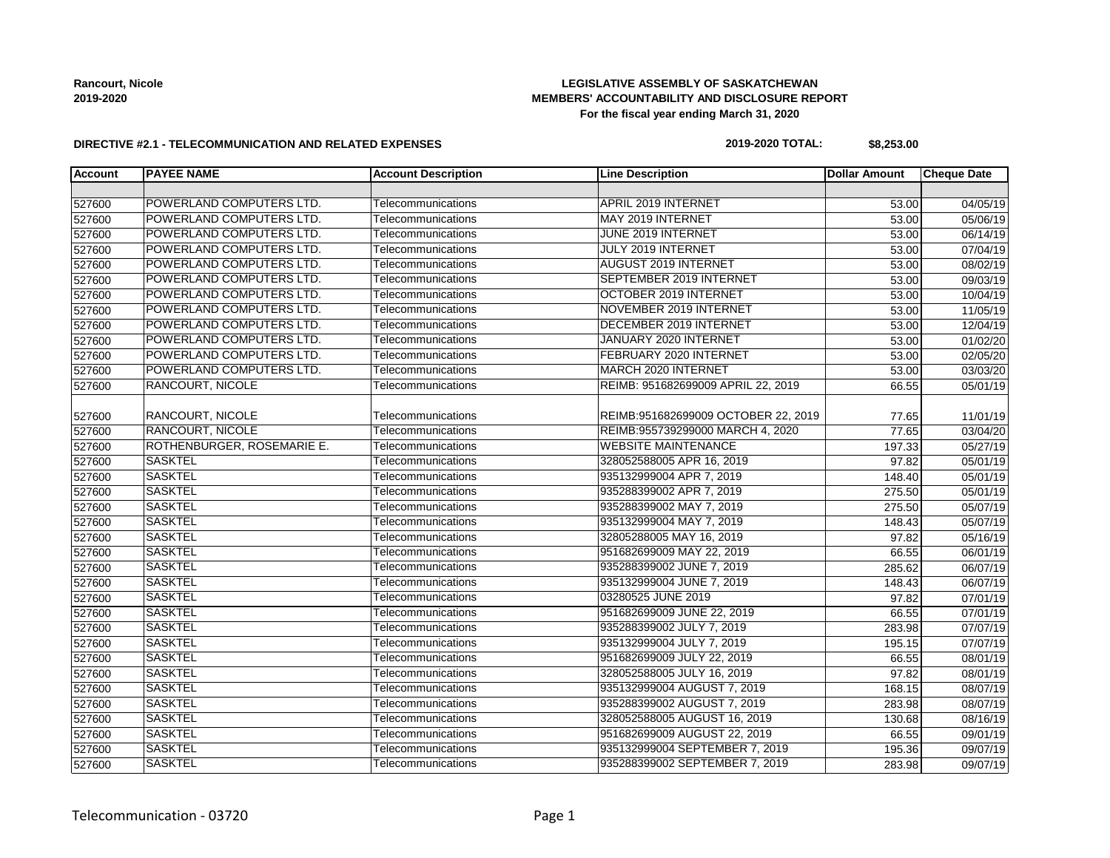### **LEGISLATIVE ASSEMBLY OF SASKATCHEWAN MEMBERS' ACCOUNTABILITY AND DISCLOSURE REPORT For the fiscal year ending March 31, 2020**

#### **DIRECTIVE #2.1 - TELECOMMUNICATION AND RELATED EXPENSES**

#### **2019-2020 TOTAL: \$8,253.00**

| <b>Account</b> | <b>PAYEE NAME</b>          | <b>Account Description</b> | <b>Line Description</b>             | <b>Dollar Amount</b> | <b>Cheque Date</b>    |
|----------------|----------------------------|----------------------------|-------------------------------------|----------------------|-----------------------|
|                |                            |                            |                                     |                      |                       |
| 527600         | POWERLAND COMPUTERS LTD.   | Telecommunications         | <b>APRIL 2019 INTERNET</b>          | 53.00                | 04/05/19              |
| 527600         | POWERLAND COMPUTERS LTD.   | Telecommunications         | MAY 2019 INTERNET                   | 53.00                | 05/06/19              |
| 527600         | POWERLAND COMPUTERS LTD.   | Telecommunications         | JUNE 2019 INTERNET                  | 53.00                | 06/14/19              |
| 527600         | POWERLAND COMPUTERS LTD.   | Telecommunications         | JULY 2019 INTERNET                  | 53.00                | 07/04/19              |
| 527600         | POWERLAND COMPUTERS LTD.   | Telecommunications         | <b>AUGUST 2019 INTERNET</b>         | 53.00                | 08/02/19              |
| 527600         | POWERLAND COMPUTERS LTD.   | Telecommunications         | SEPTEMBER 2019 INTERNET             | 53.00                | 09/03/19              |
| 527600         | POWERLAND COMPUTERS LTD.   | Telecommunications         | OCTOBER 2019 INTERNET               | 53.00                | 10/04/19              |
| 527600         | POWERLAND COMPUTERS LTD.   | Telecommunications         | NOVEMBER 2019 INTERNET              | 53.00                | 11/05/19              |
| 527600         | POWERLAND COMPUTERS LTD.   | Telecommunications         | DECEMBER 2019 INTERNET              | 53.00                | 12/04/19              |
| 527600         | POWERLAND COMPUTERS LTD.   | Telecommunications         | JANUARY 2020 INTERNET               | 53.00                | 01/02/20              |
| 527600         | POWERLAND COMPUTERS LTD.   | Telecommunications         | FEBRUARY 2020 INTERNET              | 53.00                | 02/05/20              |
| 527600         | POWERLAND COMPUTERS LTD.   | Telecommunications         | MARCH 2020 INTERNET                 | 53.00                | 03/03/20              |
| 527600         | RANCOURT, NICOLE           | Telecommunications         | REIMB: 951682699009 APRIL 22, 2019  | 66.55                | 05/01/19              |
| 527600         | <b>RANCOURT, NICOLE</b>    | Telecommunications         | REIMB:951682699009 OCTOBER 22, 2019 | 77.65                | 11/01/19              |
| 527600         | <b>RANCOURT, NICOLE</b>    | Telecommunications         | REIMB:955739299000 MARCH 4, 2020    | 77.65                | 03/04/20              |
| 527600         | ROTHENBURGER, ROSEMARIE E. | Telecommunications         | <b>WEBSITE MAINTENANCE</b>          | 197.33               | $\overline{05/27/19}$ |
| 527600         | <b>SASKTEL</b>             | Telecommunications         | 328052588005 APR 16, 2019           | 97.82                | 05/01/19              |
| 527600         | <b>SASKTEL</b>             | Telecommunications         | 935132999004 APR 7, 2019            | 148.40               | 05/01/19              |
| 527600         | <b>SASKTEL</b>             | Telecommunications         | 935288399002 APR 7, 2019            | 275.50               | 05/01/19              |
| 527600         | <b>SASKTEL</b>             | Telecommunications         | 935288399002 MAY 7, 2019            | 275.50               | 05/07/19              |
| 527600         | <b>SASKTEL</b>             | Telecommunications         | 935132999004 MAY 7, 2019            | 148.43               | 05/07/19              |
| 527600         | <b>SASKTEL</b>             | Telecommunications         | 32805288005 MAY 16, 2019            | 97.82                | 05/16/19              |
| 527600         | <b>SASKTEL</b>             | Telecommunications         | 951682699009 MAY 22, 2019           | 66.55                | 06/01/19              |
| 527600         | <b>SASKTEL</b>             | Telecommunications         | 935288399002 JUNE 7, 2019           | 285.62               | 06/07/19              |
| 527600         | <b>SASKTEL</b>             | Telecommunications         | 935132999004 JUNE 7, 2019           | 148.43               | 06/07/19              |
| 527600         | <b>SASKTEL</b>             | Telecommunications         | 03280525 JUNE 2019                  | 97.82                | $\overline{07}/01/19$ |
| 527600         | <b>SASKTEL</b>             | Telecommunications         | 951682699009 JUNE 22, 2019          | 66.55                | 07/01/19              |
| 527600         | <b>SASKTEL</b>             | Telecommunications         | 935288399002 JULY 7, 2019           | 283.98               | 07/07/19              |
| 527600         | <b>SASKTEL</b>             | Telecommunications         | 935132999004 JULY 7, 2019           | 195.15               | 07/07/19              |
| 527600         | <b>SASKTEL</b>             | Telecommunications         | 951682699009 JULY 22, 2019          | 66.55                | 08/01/19              |
| 527600         | <b>SASKTEL</b>             | Telecommunications         | 328052588005 JULY 16, 2019          | 97.82                | 08/01/19              |
| 527600         | <b>SASKTEL</b>             | Telecommunications         | 935132999004 AUGUST 7, 2019         | 168.15               | 08/07/19              |
| 527600         | <b>SASKTEL</b>             | Telecommunications         | 935288399002 AUGUST 7, 2019         | 283.98               | 08/07/19              |
| 527600         | <b>SASKTEL</b>             | Telecommunications         | 328052588005 AUGUST 16, 2019        | 130.68               | 08/16/19              |
| 527600         | <b>SASKTEL</b>             | Telecommunications         | 951682699009 AUGUST 22, 2019        | 66.55                | 09/01/19              |
| 527600         | <b>SASKTEL</b>             | Telecommunications         | 935132999004 SEPTEMBER 7, 2019      | 195.36               | 09/07/19              |
| 527600         | <b>SASKTEL</b>             | Telecommunications         | 935288399002 SEPTEMBER 7, 2019      | 283.98               | 09/07/19              |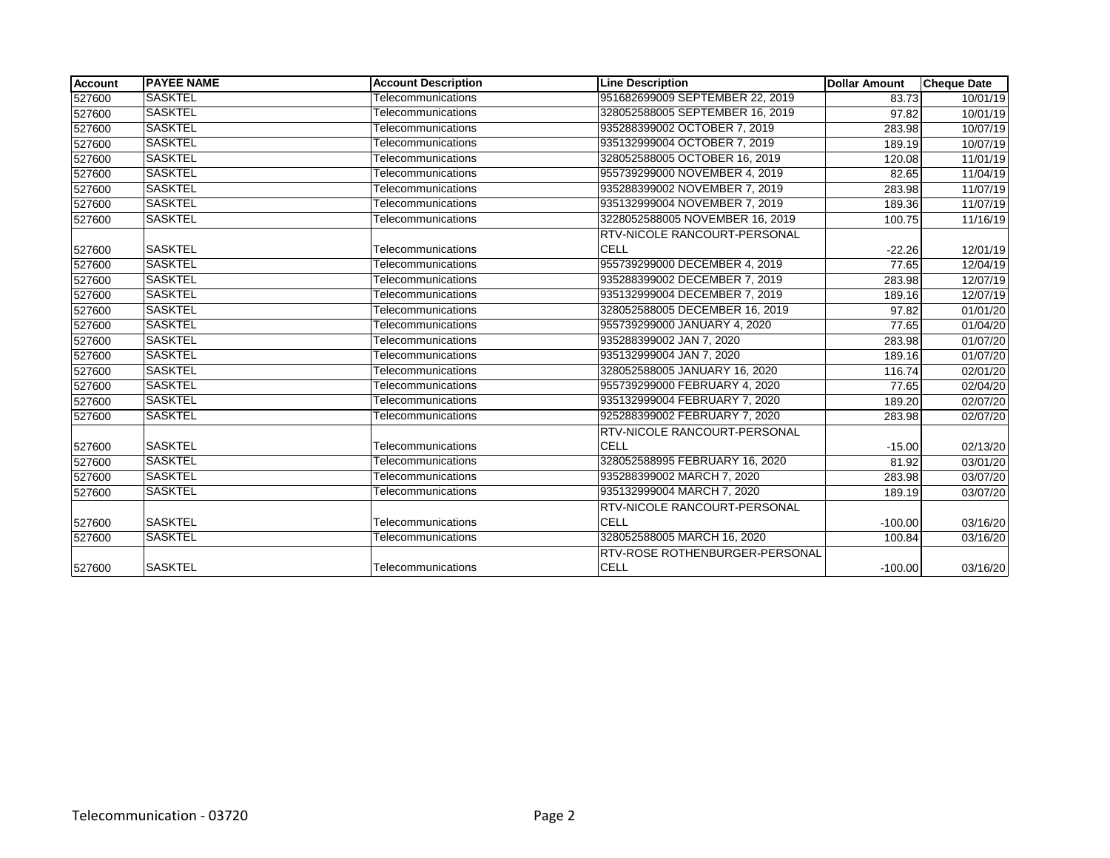| <b>Account</b> | <b>PAYEE NAME</b> | <b>Account Description</b> | <b>Line Description</b>             | <b>Dollar Amount</b> | <b>Cheque Date</b>    |
|----------------|-------------------|----------------------------|-------------------------------------|----------------------|-----------------------|
| 527600         | <b>SASKTEL</b>    | Telecommunications         | 951682699009 SEPTEMBER 22, 2019     | 83.73                | 10/01/19              |
| 527600         | <b>SASKTEL</b>    | Telecommunications         | 328052588005 SEPTEMBER 16, 2019     | 97.82                | 10/01/19              |
| 527600         | <b>SASKTEL</b>    | Telecommunications         | 935288399002 OCTOBER 7, 2019        | 283.98               | 10/07/19              |
| 527600         | <b>SASKTEL</b>    | Telecommunications         | 935132999004 OCTOBER 7, 2019        | 189.19               | 10/07/19              |
| 527600         | <b>SASKTEL</b>    | Telecommunications         | 328052588005 OCTOBER 16, 2019       | 120.08               | 11/01/19              |
| 527600         | <b>SASKTEL</b>    | <b>Telecommunications</b>  | 955739299000 NOVEMBER 4, 2019       | 82.65                | 11/04/19              |
| 527600         | <b>SASKTEL</b>    | Telecommunications         | 935288399002 NOVEMBER 7, 2019       | 283.98               | 11/07/19              |
| 527600         | <b>SASKTEL</b>    | Telecommunications         | 935132999004 NOVEMBER 7, 2019       | 189.36               | 11/07/19              |
| 527600         | <b>SASKTEL</b>    | Telecommunications         | 3228052588005 NOVEMBER 16, 2019     | 100.75               | 11/16/19              |
|                |                   |                            | <b>RTV-NICOLE RANCOURT-PERSONAL</b> |                      |                       |
| 527600         | <b>SASKTEL</b>    | Telecommunications         | <b>CELL</b>                         | $-22.26$             | 12/01/19              |
| 527600         | <b>SASKTEL</b>    | Telecommunications         | 955739299000 DECEMBER 4, 2019       | 77.65                | 12/04/19              |
| 527600         | SASKTEL           | Telecommunications         | 935288399002 DECEMBER 7, 2019       | 283.98               | 12/07/19              |
| 527600         | <b>SASKTEL</b>    | Telecommunications         | 935132999004 DECEMBER 7, 2019       | 189.16               | 12/07/19              |
| 527600         | <b>SASKTEL</b>    | Telecommunications         | 328052588005 DECEMBER 16, 2019      | 97.82                | 01/01/20              |
| 527600         | <b>SASKTEL</b>    | Telecommunications         | 955739299000 JANUARY 4, 2020        | 77.65                | 01/04/20              |
| 527600         | <b>SASKTEL</b>    | Telecommunications         | 935288399002 JAN 7, 2020            | 283.98               | $\overline{01/07}/20$ |
| 527600         | <b>SASKTEL</b>    | Telecommunications         | 935132999004 JAN 7, 2020            | 189.16               | 01/07/20              |
| 527600         | <b>SASKTEL</b>    | <b>Telecommunications</b>  | 328052588005 JANUARY 16, 2020       | 116.74               | 02/01/20              |
| 527600         | <b>SASKTEL</b>    | Telecommunications         | 955739299000 FEBRUARY 4, 2020       | 77.65                | 02/04/20              |
| 527600         | <b>SASKTEL</b>    | Telecommunications         | 935132999004 FEBRUARY 7, 2020       | 189.20               | 02/07/20              |
| 527600         | <b>SASKTEL</b>    | Telecommunications         | 925288399002 FEBRUARY 7, 2020       | 283.98               | 02/07/20              |
|                |                   |                            | <b>RTV-NICOLE RANCOURT-PERSONAL</b> |                      |                       |
| 527600         | <b>SASKTEL</b>    | Telecommunications         | <b>CELL</b>                         | $-15.00$             | 02/13/20              |
| 527600         | <b>SASKTEL</b>    | Telecommunications         | 328052588995 FEBRUARY 16, 2020      | 81.92                | 03/01/20              |
| 527600         | <b>SASKTEL</b>    | Telecommunications         | 935288399002 MARCH 7, 2020          | 283.98               | 03/07/20              |
| 527600         | <b>SASKTEL</b>    | Telecommunications         | 935132999004 MARCH 7, 2020          | 189.19               | 03/07/20              |
|                |                   |                            | <b>RTV-NICOLE RANCOURT-PERSONAL</b> |                      |                       |
| 527600         | <b>SASKTEL</b>    | Telecommunications         | CELL                                | $-100.00$            | 03/16/20              |
| 527600         | <b>SASKTEL</b>    | Telecommunications         | 328052588005 MARCH 16, 2020         | 100.84               | 03/16/20              |
|                |                   |                            | RTV-ROSE ROTHENBURGER-PERSONAL      |                      |                       |
| 527600         | <b>SASKTEL</b>    | Telecommunications         | <b>CELL</b>                         | $-100.00$            | 03/16/20              |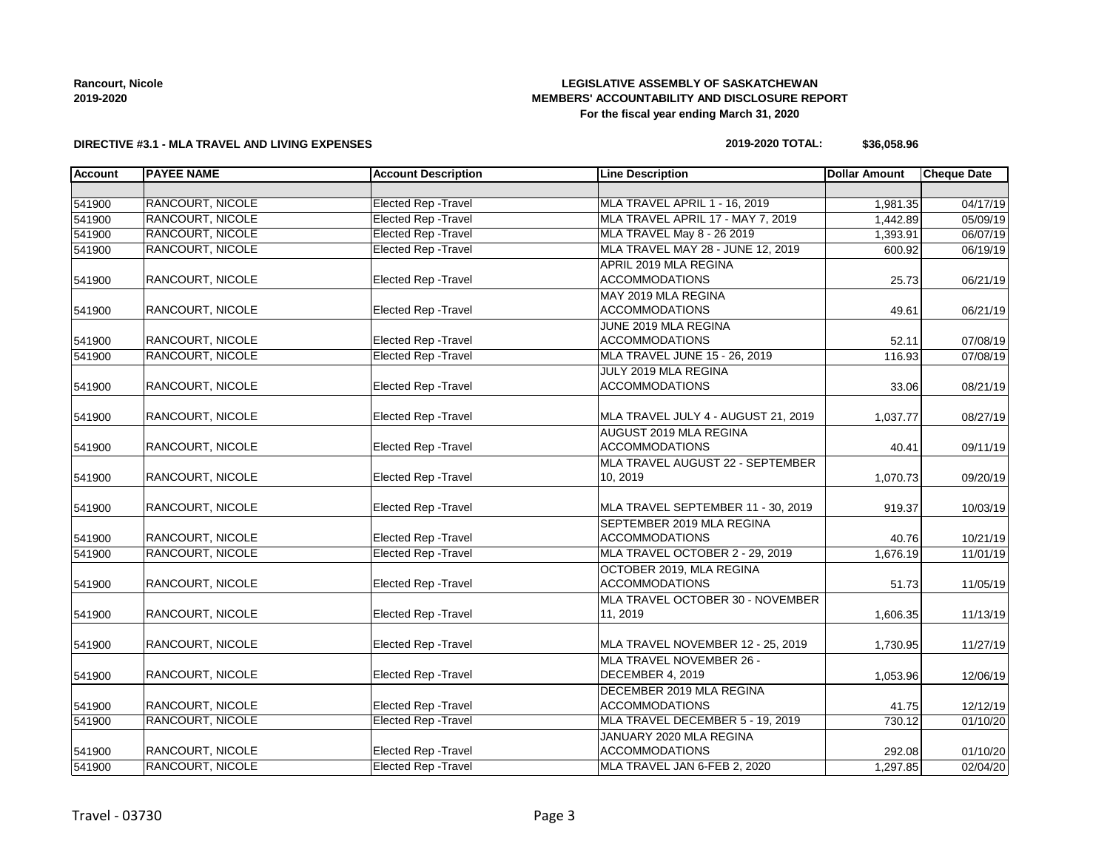### **LEGISLATIVE ASSEMBLY OF SASKATCHEWAN MEMBERS' ACCOUNTABILITY AND DISCLOSURE REPORT For the fiscal year ending March 31, 2020**

### **DIRECTIVE #3.1 - MLA TRAVEL AND LIVING EXPENSES**

#### **2019-2020 TOTAL: \$36,058.96**

| <b>Account</b> | <b>PAYEE NAME</b>       | <b>Account Description</b>  | <b>Line Description</b>             | <b>Dollar Amount</b> | <b>Cheque Date</b> |
|----------------|-------------------------|-----------------------------|-------------------------------------|----------------------|--------------------|
|                |                         |                             |                                     |                      |                    |
| 541900         | <b>RANCOURT, NICOLE</b> | <b>Elected Rep - Travel</b> | MLA TRAVEL APRIL 1 - 16, 2019       | 1,981.35             | 04/17/19           |
| 541900         | RANCOURT, NICOLE        | <b>Elected Rep - Travel</b> | MLA TRAVEL APRIL 17 - MAY 7, 2019   | 1,442.89             | 05/09/19           |
| 541900         | RANCOURT, NICOLE        | <b>Elected Rep - Travel</b> | MLA TRAVEL May 8 - 26 2019          | 1,393.91             | 06/07/19           |
| 541900         | <b>RANCOURT, NICOLE</b> | <b>Elected Rep - Travel</b> | MLA TRAVEL MAY 28 - JUNE 12, 2019   | 600.92               | 06/19/19           |
|                |                         |                             | APRIL 2019 MLA REGINA               |                      |                    |
| 541900         | RANCOURT, NICOLE        | Elected Rep - Travel        | <b>ACCOMMODATIONS</b>               | 25.73                | 06/21/19           |
|                |                         |                             | MAY 2019 MLA REGINA                 |                      |                    |
| 541900         | RANCOURT, NICOLE        | Elected Rep - Travel        | <b>ACCOMMODATIONS</b>               | 49.61                | 06/21/19           |
|                |                         |                             | JUNE 2019 MLA REGINA                |                      |                    |
| 541900         | RANCOURT, NICOLE        | <b>Elected Rep - Travel</b> | <b>ACCOMMODATIONS</b>               | 52.11                | 07/08/19           |
| 541900         | <b>RANCOURT, NICOLE</b> | <b>Elected Rep - Travel</b> | MLA TRAVEL JUNE 15 - 26, 2019       | 116.93               | 07/08/19           |
|                |                         |                             | JULY 2019 MLA REGINA                |                      |                    |
| 541900         | RANCOURT, NICOLE        | Elected Rep - Travel        | <b>ACCOMMODATIONS</b>               | 33.06                | 08/21/19           |
|                |                         |                             |                                     |                      |                    |
| 541900         | RANCOURT, NICOLE        | Elected Rep - Travel        | MLA TRAVEL JULY 4 - AUGUST 21, 2019 | 1,037.77             | 08/27/19           |
|                |                         |                             | AUGUST 2019 MLA REGINA              |                      |                    |
| 541900         | RANCOURT, NICOLE        | <b>Elected Rep - Travel</b> | <b>ACCOMMODATIONS</b>               | 40.41                | 09/11/19           |
|                |                         |                             | MLA TRAVEL AUGUST 22 - SEPTEMBER    |                      |                    |
| 541900         | RANCOURT, NICOLE        | <b>Elected Rep - Travel</b> | 10, 2019                            | 1,070.73             | 09/20/19           |
|                |                         |                             |                                     |                      |                    |
| 541900         | RANCOURT, NICOLE        | Elected Rep - Travel        | MLA TRAVEL SEPTEMBER 11 - 30, 2019  | 919.37               | 10/03/19           |
|                |                         |                             | SEPTEMBER 2019 MLA REGINA           |                      |                    |
| 541900         | RANCOURT, NICOLE        | Elected Rep - Travel        | <b>ACCOMMODATIONS</b>               | 40.76                | 10/21/19           |
| 541900         | RANCOURT, NICOLE        | <b>Elected Rep - Travel</b> | MLA TRAVEL OCTOBER 2 - 29, 2019     | 1,676.19             | 11/01/19           |
|                |                         |                             | OCTOBER 2019. MLA REGINA            |                      |                    |
| 541900         | RANCOURT, NICOLE        | <b>Elected Rep - Travel</b> | <b>ACCOMMODATIONS</b>               | 51.73                | 11/05/19           |
|                |                         |                             | MLA TRAVEL OCTOBER 30 - NOVEMBER    |                      |                    |
| 541900         | <b>RANCOURT, NICOLE</b> | <b>Elected Rep - Travel</b> | 11, 2019                            | 1,606.35             | 11/13/19           |
|                |                         |                             |                                     |                      |                    |
| 541900         | RANCOURT, NICOLE        | Elected Rep - Travel        | MLA TRAVEL NOVEMBER 12 - 25, 2019   | 1,730.95             | 11/27/19           |
|                |                         |                             | MLA TRAVEL NOVEMBER 26 -            |                      |                    |
| 541900         | RANCOURT, NICOLE        | <b>Elected Rep - Travel</b> | DECEMBER 4, 2019                    | 1,053.96             | 12/06/19           |
|                |                         |                             | DECEMBER 2019 MLA REGINA            |                      |                    |
| 541900         | RANCOURT, NICOLE        | Elected Rep - Travel        | <b>ACCOMMODATIONS</b>               | 41.75                | 12/12/19           |
| 541900         | RANCOURT, NICOLE        | <b>Elected Rep - Travel</b> | MLA TRAVEL DECEMBER 5 - 19, 2019    | 730.12               | 01/10/20           |
|                |                         |                             | JANUARY 2020 MLA REGINA             |                      |                    |
| 541900         | RANCOURT, NICOLE        | Elected Rep - Travel        | <b>ACCOMMODATIONS</b>               | 292.08               | 01/10/20           |
| 541900         | RANCOURT, NICOLE        | Elected Rep - Travel        | MLA TRAVEL JAN 6-FEB 2, 2020        | 1,297.85             | 02/04/20           |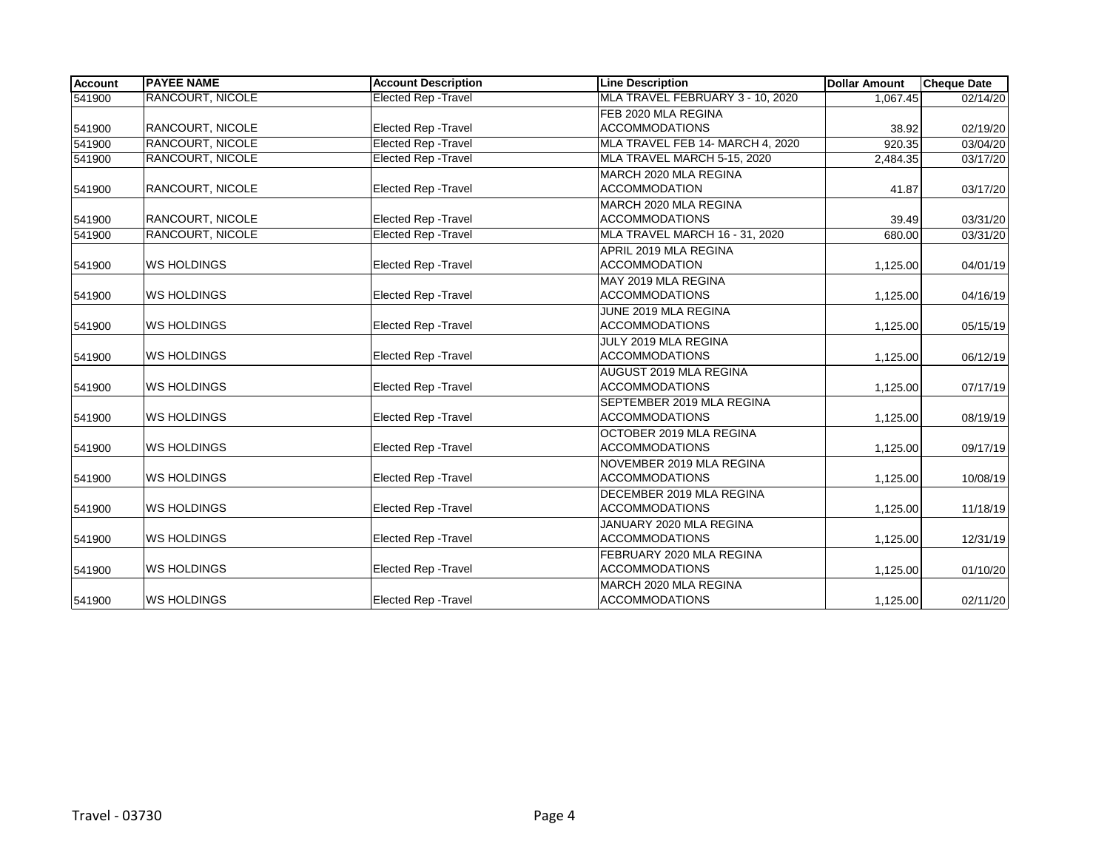| <b>Account</b> | <b>PAYEE NAME</b>       | <b>Account Description</b>  | <b>Line Description</b>          | <b>Dollar Amount</b> | <b>Cheque Date</b> |
|----------------|-------------------------|-----------------------------|----------------------------------|----------------------|--------------------|
| 541900         | <b>RANCOURT, NICOLE</b> | <b>Elected Rep - Travel</b> | MLA TRAVEL FEBRUARY 3 - 10, 2020 | 1.067.45             | 02/14/20           |
|                |                         |                             | FEB 2020 MLA REGINA              |                      |                    |
| 541900         | RANCOURT, NICOLE        | <b>Elected Rep - Travel</b> | <b>ACCOMMODATIONS</b>            | 38.92                | 02/19/20           |
| 541900         | <b>RANCOURT, NICOLE</b> | <b>Elected Rep - Travel</b> | MLA TRAVEL FEB 14- MARCH 4, 2020 | 920.35               | 03/04/20           |
| 541900         | <b>RANCOURT, NICOLE</b> | <b>Elected Rep - Travel</b> | MLA TRAVEL MARCH 5-15, 2020      | 2,484.35             | 03/17/20           |
|                |                         |                             | MARCH 2020 MLA REGINA            |                      |                    |
| 541900         | RANCOURT, NICOLE        | <b>Elected Rep - Travel</b> | <b>ACCOMMODATION</b>             | 41.87                | 03/17/20           |
|                |                         |                             | MARCH 2020 MLA REGINA            |                      |                    |
| 541900         | <b>RANCOURT, NICOLE</b> | <b>Elected Rep - Travel</b> | <b>ACCOMMODATIONS</b>            | 39.49                | 03/31/20           |
| 541900         | RANCOURT, NICOLE        | <b>Elected Rep - Travel</b> | MLA TRAVEL MARCH 16 - 31, 2020   | 680.00               | 03/31/20           |
|                |                         |                             | APRIL 2019 MLA REGINA            |                      |                    |
| 541900         | <b>WS HOLDINGS</b>      | <b>Elected Rep - Travel</b> | <b>ACCOMMODATION</b>             | 1,125.00             | 04/01/19           |
|                |                         |                             | MAY 2019 MLA REGINA              |                      |                    |
| 541900         | <b>WS HOLDINGS</b>      | Elected Rep - Travel        | <b>ACCOMMODATIONS</b>            | 1,125.00             | 04/16/19           |
|                |                         |                             | JUNE 2019 MLA REGINA             |                      |                    |
| 541900         | <b>WS HOLDINGS</b>      | Elected Rep - Travel        | <b>ACCOMMODATIONS</b>            | 1,125.00             | 05/15/19           |
|                |                         |                             | JULY 2019 MLA REGINA             |                      |                    |
| 541900         | <b>WS HOLDINGS</b>      | Elected Rep - Travel        | <b>ACCOMMODATIONS</b>            | 1,125.00             | 06/12/19           |
|                |                         |                             | AUGUST 2019 MLA REGINA           |                      |                    |
| 541900         | <b>WS HOLDINGS</b>      | Elected Rep - Travel        | <b>ACCOMMODATIONS</b>            | 1,125.00             | 07/17/19           |
|                |                         |                             | SEPTEMBER 2019 MLA REGINA        |                      |                    |
| 541900         | <b>WS HOLDINGS</b>      | <b>Elected Rep - Travel</b> | <b>ACCOMMODATIONS</b>            | 1,125.00             | 08/19/19           |
|                |                         |                             | OCTOBER 2019 MLA REGINA          |                      |                    |
| 541900         | <b>WS HOLDINGS</b>      | <b>Elected Rep - Travel</b> | <b>ACCOMMODATIONS</b>            | 1,125.00             | 09/17/19           |
|                |                         |                             | NOVEMBER 2019 MLA REGINA         |                      |                    |
| 541900         | <b>WS HOLDINGS</b>      | Elected Rep - Travel        | <b>ACCOMMODATIONS</b>            | 1,125.00             | 10/08/19           |
|                |                         |                             | DECEMBER 2019 MLA REGINA         |                      |                    |
| 541900         | <b>WS HOLDINGS</b>      | Elected Rep - Travel        | <b>ACCOMMODATIONS</b>            | 1,125.00             | 11/18/19           |
|                |                         |                             | JANUARY 2020 MLA REGINA          |                      |                    |
| 541900         | <b>WS HOLDINGS</b>      | <b>Elected Rep - Travel</b> | <b>ACCOMMODATIONS</b>            | 1,125.00             | 12/31/19           |
|                |                         |                             | FEBRUARY 2020 MLA REGINA         |                      |                    |
| 541900         | <b>WS HOLDINGS</b>      | Elected Rep - Travel        | <b>ACCOMMODATIONS</b>            | 1,125.00             | 01/10/20           |
|                |                         |                             | MARCH 2020 MLA REGINA            |                      |                    |
| 541900         | <b>WS HOLDINGS</b>      | <b>Elected Rep - Travel</b> | <b>ACCOMMODATIONS</b>            | 1,125.00             | 02/11/20           |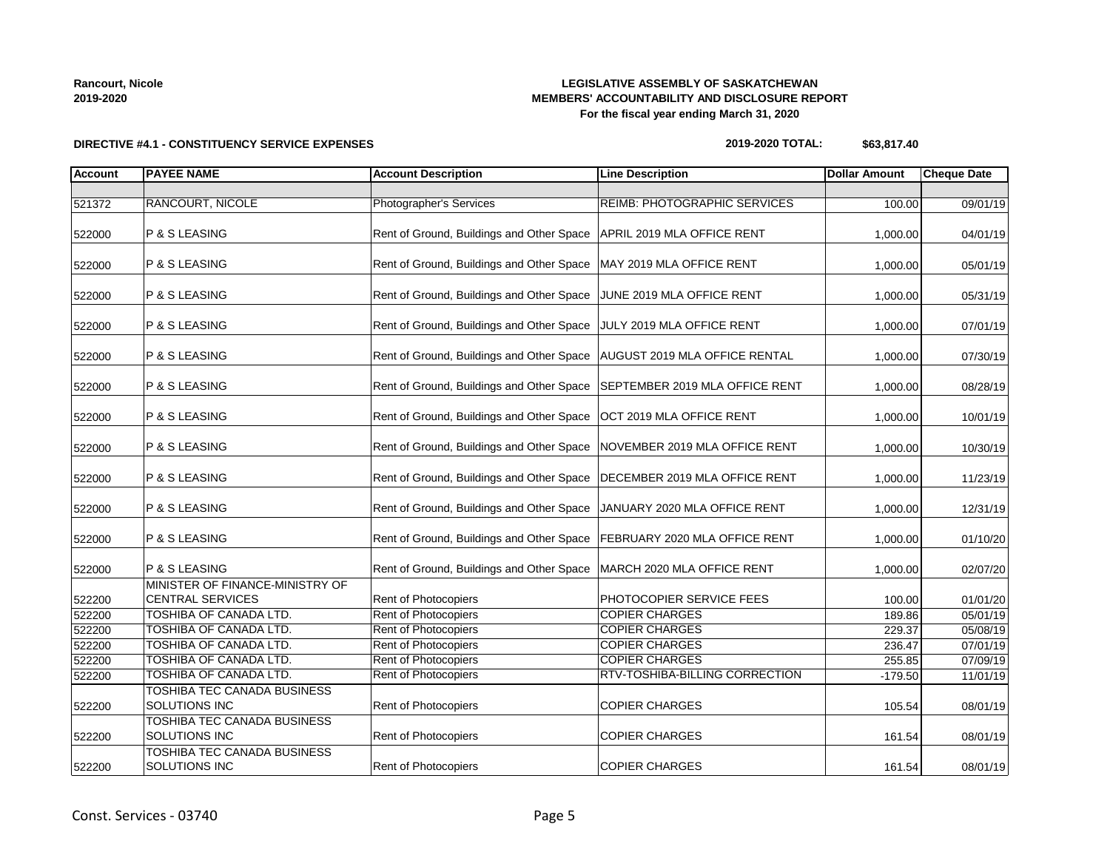### **LEGISLATIVE ASSEMBLY OF SASKATCHEWAN MEMBERS' ACCOUNTABILITY AND DISCLOSURE REPORT For the fiscal year ending March 31, 2020**

**DIRECTIVE #4.1 - CONSTITUENCY SERVICE EXPENSES**

#### **2019-2020 TOTAL: \$63,817.40**

| <b>Account</b> | <b>PAYEE NAME</b>                                          | <b>Account Description</b>                | <b>Line Description</b>        | <b>Dollar Amount</b> | <b>Cheque Date</b> |
|----------------|------------------------------------------------------------|-------------------------------------------|--------------------------------|----------------------|--------------------|
|                |                                                            |                                           |                                |                      |                    |
| 521372         | RANCOURT, NICOLE                                           | Photographer's Services                   | REIMB: PHOTOGRAPHIC SERVICES   | 100.00               | 09/01/19           |
| 522000         | P & S LEASING                                              | Rent of Ground, Buildings and Other Space | APRIL 2019 MLA OFFICE RENT     | 1,000.00             | 04/01/19           |
| 522000         | P & S LEASING                                              | Rent of Ground, Buildings and Other Space | MAY 2019 MLA OFFICE RENT       | 1,000.00             | 05/01/19           |
| 522000         | P & S LEASING                                              | Rent of Ground, Buildings and Other Space | JUNE 2019 MLA OFFICE RENT      | 1,000.00             | 05/31/19           |
| 522000         | P & S LEASING                                              | Rent of Ground, Buildings and Other Space | JULY 2019 MLA OFFICE RENT      | 1,000.00             | 07/01/19           |
| 522000         | P & S LEASING                                              | Rent of Ground, Buildings and Other Space | AUGUST 2019 MLA OFFICE RENTAL  | 1,000.00             | 07/30/19           |
| 522000         | P & S LEASING                                              | Rent of Ground, Buildings and Other Space | SEPTEMBER 2019 MLA OFFICE RENT | 1,000.00             | 08/28/19           |
| 522000         | P & S LEASING                                              | Rent of Ground, Buildings and Other Space | OCT 2019 MLA OFFICE RENT       | 1,000.00             | 10/01/19           |
| 522000         | P & S LEASING                                              | Rent of Ground, Buildings and Other Space | NOVEMBER 2019 MLA OFFICE RENT  | 1,000.00             | 10/30/19           |
| 522000         | P & S LEASING                                              | Rent of Ground, Buildings and Other Space | DECEMBER 2019 MLA OFFICE RENT  | 1,000.00             | 11/23/19           |
| 522000         | P & S LEASING                                              | Rent of Ground, Buildings and Other Space | JANUARY 2020 MLA OFFICE RENT   | 1,000.00             | 12/31/19           |
| 522000         | P & S LEASING                                              | Rent of Ground, Buildings and Other Space | FEBRUARY 2020 MLA OFFICE RENT  | 1,000.00             | 01/10/20           |
| 522000         | P & S LEASING                                              | Rent of Ground, Buildings and Other Space | MARCH 2020 MLA OFFICE RENT     | 1,000.00             | 02/07/20           |
| 522200         | MINISTER OF FINANCE-MINISTRY OF<br><b>CENTRAL SERVICES</b> | Rent of Photocopiers                      | PHOTOCOPIER SERVICE FEES       | 100.00               | 01/01/20           |
| 522200         | <b>TOSHIBA OF CANADA LTD.</b>                              | Rent of Photocopiers                      | <b>COPIER CHARGES</b>          | 189.86               | 05/01/19           |
| 522200         | TOSHIBA OF CANADA LTD.                                     | Rent of Photocopiers                      | <b>COPIER CHARGES</b>          | 229.37               | 05/08/19           |
| 522200         | TOSHIBA OF CANADA LTD.                                     | Rent of Photocopiers                      | <b>COPIER CHARGES</b>          | 236.47               | 07/01/19           |
| 522200         | TOSHIBA OF CANADA LTD.                                     | Rent of Photocopiers                      | <b>COPIER CHARGES</b>          | 255.85               | 07/09/19           |
| 522200         | TOSHIBA OF CANADA LTD.                                     | <b>Rent of Photocopiers</b>               | RTV-TOSHIBA-BILLING CORRECTION | $-179.50$            | 11/01/19           |
| 522200         | TOSHIBA TEC CANADA BUSINESS<br>SOLUTIONS INC               | Rent of Photocopiers                      | <b>COPIER CHARGES</b>          | 105.54               | 08/01/19           |
| 522200         | TOSHIBA TEC CANADA BUSINESS<br><b>SOLUTIONS INC</b>        | Rent of Photocopiers                      | <b>COPIER CHARGES</b>          | 161.54               | 08/01/19           |
| 522200         | TOSHIBA TEC CANADA BUSINESS<br><b>SOLUTIONS INC</b>        | Rent of Photocopiers                      | <b>COPIER CHARGES</b>          | 161.54               | 08/01/19           |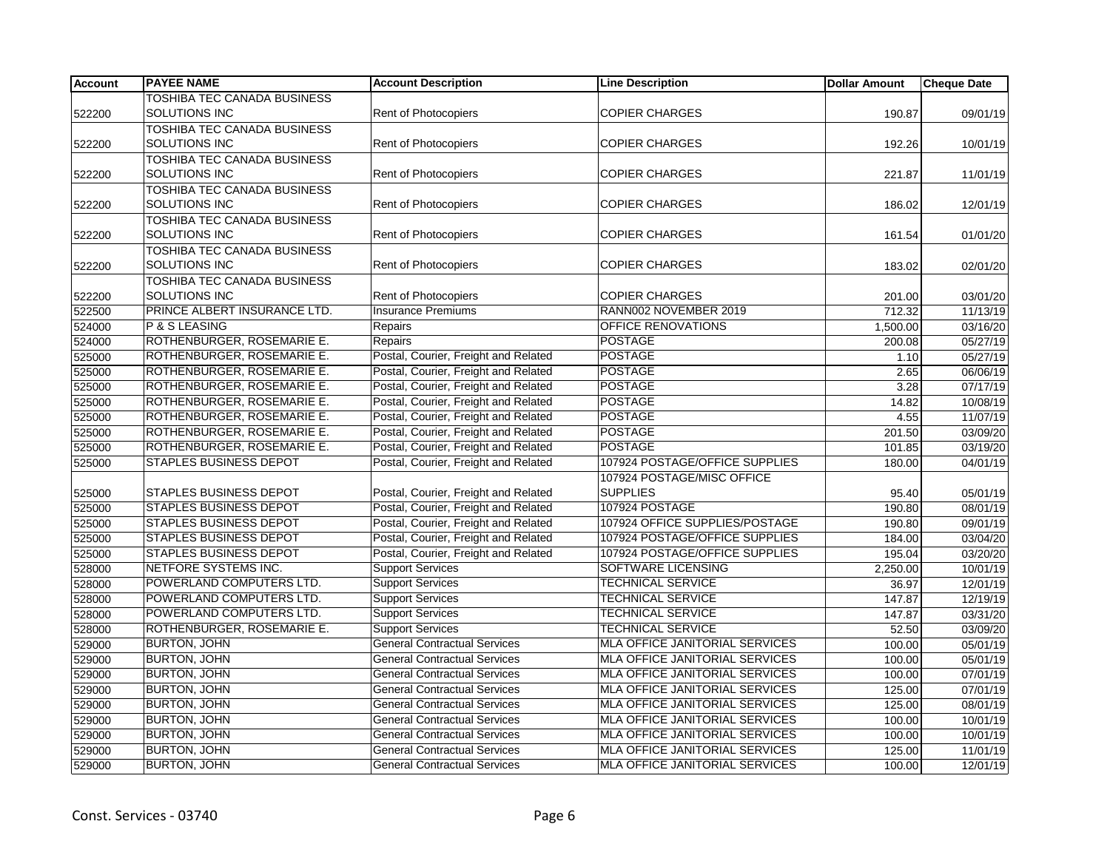| <b>Account</b> | <b>PAYEE NAME</b>                  | <b>Account Description</b>           | <b>Line Description</b>               | <b>Dollar Amount</b> | <b>Cheque Date</b> |
|----------------|------------------------------------|--------------------------------------|---------------------------------------|----------------------|--------------------|
|                | TOSHIBA TEC CANADA BUSINESS        |                                      |                                       |                      |                    |
| 522200         | SOLUTIONS INC                      | Rent of Photocopiers                 | <b>COPIER CHARGES</b>                 | 190.87               | 09/01/19           |
|                | <b>TOSHIBA TEC CANADA BUSINESS</b> |                                      |                                       |                      |                    |
| 522200         | <b>SOLUTIONS INC</b>               | Rent of Photocopiers                 | <b>COPIER CHARGES</b>                 | 192.26               | 10/01/19           |
|                | TOSHIBA TEC CANADA BUSINESS        |                                      |                                       |                      |                    |
| 522200         | <b>SOLUTIONS INC</b>               | <b>Rent of Photocopiers</b>          | <b>COPIER CHARGES</b>                 | 221.87               | 11/01/19           |
|                | <b>TOSHIBA TEC CANADA BUSINESS</b> |                                      |                                       |                      |                    |
| 522200         | SOLUTIONS INC                      | Rent of Photocopiers                 | <b>COPIER CHARGES</b>                 | 186.02               | 12/01/19           |
|                | <b>TOSHIBA TEC CANADA BUSINESS</b> |                                      |                                       |                      |                    |
| 522200         | SOLUTIONS INC                      | Rent of Photocopiers                 | <b>COPIER CHARGES</b>                 | 161.54               | 01/01/20           |
|                | <b>TOSHIBA TEC CANADA BUSINESS</b> |                                      |                                       |                      |                    |
| 522200         | <b>SOLUTIONS INC</b>               | Rent of Photocopiers                 | <b>COPIER CHARGES</b>                 | 183.02               | 02/01/20           |
|                | <b>TOSHIBA TEC CANADA BUSINESS</b> |                                      |                                       |                      |                    |
| 522200         | <b>SOLUTIONS INC</b>               | Rent of Photocopiers                 | <b>COPIER CHARGES</b>                 | 201.00               | 03/01/20           |
| 522500         | PRINCE ALBERT INSURANCE LTD.       | <b>Insurance Premiums</b>            | RANN002 NOVEMBER 2019                 | 712.32               | 11/13/19           |
| 524000         | P & S LEASING                      | Repairs                              | OFFICE RENOVATIONS                    | 1,500.00             | 03/16/20           |
| 524000         | ROTHENBURGER, ROSEMARIE E.         | Repairs                              | <b>POSTAGE</b>                        | 200.08               | 05/27/19           |
| 525000         | ROTHENBURGER, ROSEMARIE E.         | Postal, Courier, Freight and Related | <b>POSTAGE</b>                        | 1.10                 | 05/27/19           |
| 525000         | ROTHENBURGER, ROSEMARIE E.         | Postal, Courier, Freight and Related | <b>POSTAGE</b>                        | 2.65                 | 06/06/19           |
| 525000         | ROTHENBURGER, ROSEMARIE E.         | Postal, Courier, Freight and Related | <b>POSTAGE</b>                        | 3.28                 | 07/17/19           |
| 525000         | ROTHENBURGER, ROSEMARIE E.         | Postal, Courier, Freight and Related | <b>POSTAGE</b>                        | 14.82                | 10/08/19           |
| 525000         | ROTHENBURGER, ROSEMARIE E.         | Postal, Courier, Freight and Related | <b>POSTAGE</b>                        | 4.55                 | 11/07/19           |
| 525000         | ROTHENBURGER, ROSEMARIE E.         | Postal, Courier, Freight and Related | <b>POSTAGE</b>                        | 201.50               | 03/09/20           |
| 525000         | ROTHENBURGER, ROSEMARIE E.         | Postal, Courier, Freight and Related | <b>POSTAGE</b>                        | 101.85               | 03/19/20           |
| 525000         | <b>STAPLES BUSINESS DEPOT</b>      | Postal, Courier, Freight and Related | 107924 POSTAGE/OFFICE SUPPLIES        | 180.00               | 04/01/19           |
|                |                                    |                                      | 107924 POSTAGE/MISC OFFICE            |                      |                    |
| 525000         | <b>STAPLES BUSINESS DEPOT</b>      | Postal, Courier, Freight and Related | <b>SUPPLIES</b>                       | 95.40                | 05/01/19           |
| 525000         | <b>STAPLES BUSINESS DEPOT</b>      | Postal, Courier, Freight and Related | 107924 POSTAGE                        | 190.80               | 08/01/19           |
| 525000         | <b>STAPLES BUSINESS DEPOT</b>      | Postal, Courier, Freight and Related | 107924 OFFICE SUPPLIES/POSTAGE        | 190.80               | 09/01/19           |
| 525000         | <b>STAPLES BUSINESS DEPOT</b>      | Postal, Courier, Freight and Related | 107924 POSTAGE/OFFICE SUPPLIES        | 184.00               | 03/04/20           |
| 525000         | <b>STAPLES BUSINESS DEPOT</b>      | Postal, Courier, Freight and Related | 107924 POSTAGE/OFFICE SUPPLIES        | 195.04               | 03/20/20           |
| 528000         | NETFORE SYSTEMS INC.               | <b>Support Services</b>              | <b>SOFTWARE LICENSING</b>             | 2,250.00             | 10/01/19           |
| 528000         | POWERLAND COMPUTERS LTD.           | <b>Support Services</b>              | <b>TECHNICAL SERVICE</b>              | 36.97                | 12/01/19           |
| 528000         | POWERLAND COMPUTERS LTD.           | <b>Support Services</b>              | <b>TECHNICAL SERVICE</b>              | 147.87               | 12/19/19           |
| 528000         | POWERLAND COMPUTERS LTD.           | <b>Support Services</b>              | <b>TECHNICAL SERVICE</b>              | 147.87               | 03/31/20           |
| 528000         | ROTHENBURGER, ROSEMARIE E.         | <b>Support Services</b>              | <b>TECHNICAL SERVICE</b>              | 52.50                | 03/09/20           |
| 529000         | <b>BURTON, JOHN</b>                | <b>General Contractual Services</b>  | <b>MLA OFFICE JANITORIAL SERVICES</b> | 100.00               | 05/01/19           |
| 529000         | <b>BURTON, JOHN</b>                | <b>General Contractual Services</b>  | MLA OFFICE JANITORIAL SERVICES        | 100.00               | 05/01/19           |
| 529000         | <b>BURTON, JOHN</b>                | <b>General Contractual Services</b>  | MLA OFFICE JANITORIAL SERVICES        | 100.00               | 07/01/19           |
| 529000         | <b>BURTON, JOHN</b>                | <b>General Contractual Services</b>  | MLA OFFICE JANITORIAL SERVICES        | 125.00               | 07/01/19           |
| 529000         | <b>BURTON, JOHN</b>                | <b>General Contractual Services</b>  | <b>MLA OFFICE JANITORIAL SERVICES</b> | 125.00               | 08/01/19           |
| 529000         | <b>BURTON, JOHN</b>                | <b>General Contractual Services</b>  | <b>MLA OFFICE JANITORIAL SERVICES</b> | 100.00               | 10/01/19           |
| 529000         | <b>BURTON, JOHN</b>                | <b>General Contractual Services</b>  | MLA OFFICE JANITORIAL SERVICES        | 100.00               | 10/01/19           |
| 529000         | <b>BURTON, JOHN</b>                | <b>General Contractual Services</b>  | MLA OFFICE JANITORIAL SERVICES        | 125.00               | 11/01/19           |
| 529000         | <b>BURTON, JOHN</b>                | <b>General Contractual Services</b>  | <b>MLA OFFICE JANITORIAL SERVICES</b> | 100.00               | 12/01/19           |
|                |                                    |                                      |                                       |                      |                    |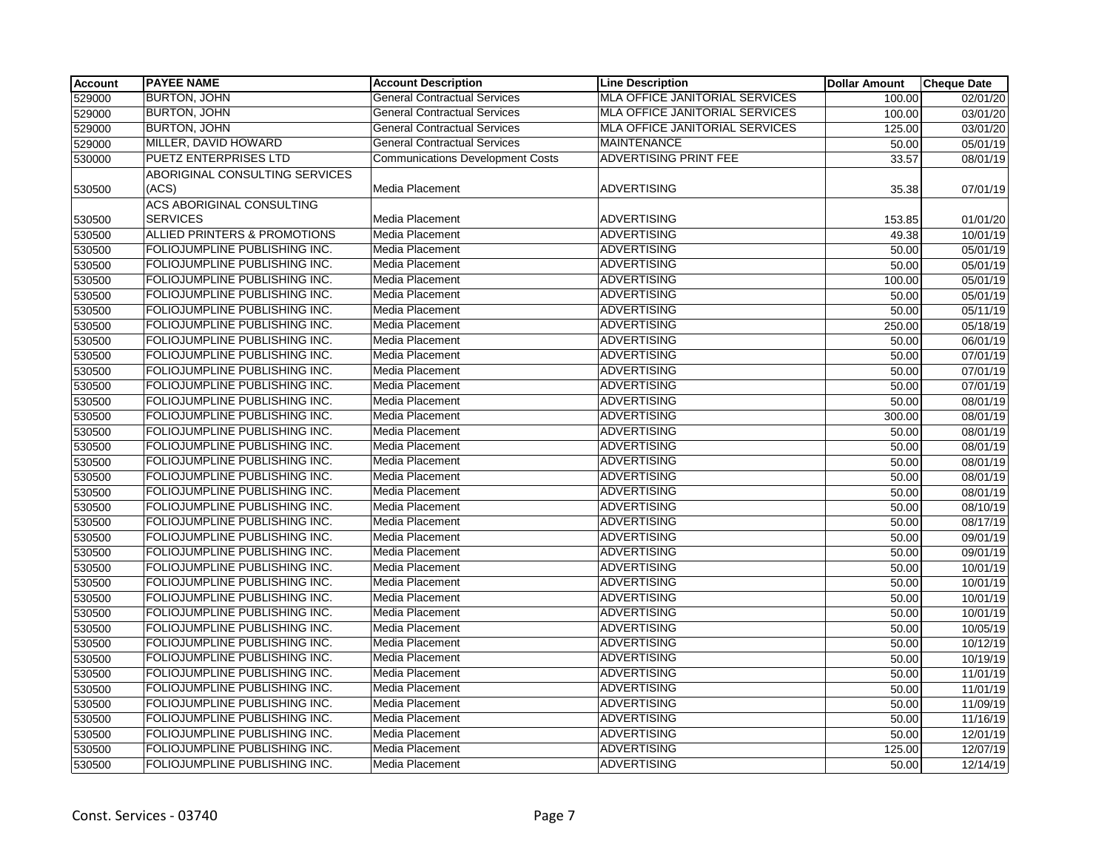| Account | <b>PAYEE NAME</b>              | <b>Account Description</b>              | <b>Line Description</b>               | <b>Dollar Amount</b> | <b>Cheque Date</b> |
|---------|--------------------------------|-----------------------------------------|---------------------------------------|----------------------|--------------------|
| 529000  | <b>BURTON, JOHN</b>            | <b>General Contractual Services</b>     | <b>MLA OFFICE JANITORIAL SERVICES</b> | 100.00               | 02/01/20           |
| 529000  | <b>BURTON, JOHN</b>            | <b>General Contractual Services</b>     | MLA OFFICE JANITORIAL SERVICES        | 100.00               | 03/01/20           |
| 529000  | <b>BURTON, JOHN</b>            | <b>General Contractual Services</b>     | <b>MLA OFFICE JANITORIAL SERVICES</b> | 125.00               | 03/01/20           |
| 529000  | MILLER, DAVID HOWARD           | General Contractual Services            | <b>MAINTENANCE</b>                    | 50.00                | 05/01/19           |
| 530000  | <b>PUETZ ENTERPRISES LTD</b>   | <b>Communications Development Costs</b> | <b>ADVERTISING PRINT FEE</b>          | 33.57                | 08/01/19           |
|         | ABORIGINAL CONSULTING SERVICES |                                         |                                       |                      |                    |
| 530500  | (ACS)                          | Media Placement                         | <b>ADVERTISING</b>                    | 35.38                | 07/01/19           |
|         | ACS ABORIGINAL CONSULTING      |                                         |                                       |                      |                    |
| 530500  | <b>SERVICES</b>                | Media Placement                         | <b>ADVERTISING</b>                    | 153.85               | 01/01/20           |
| 530500  | ALLIED PRINTERS & PROMOTIONS   | Media Placement                         | <b>ADVERTISING</b>                    | 49.38                | 10/01/19           |
| 530500  | FOLIOJUMPLINE PUBLISHING INC.  | Media Placement                         | <b>ADVERTISING</b>                    | 50.00                | 05/01/19           |
| 530500  | FOLIOJUMPLINE PUBLISHING INC.  | Media Placement                         | <b>ADVERTISING</b>                    | 50.00                | 05/01/19           |
| 530500  | FOLIOJUMPLINE PUBLISHING INC.  | Media Placement                         | <b>ADVERTISING</b>                    | 100.00               | 05/01/19           |
| 530500  | FOLIOJUMPLINE PUBLISHING INC.  | Media Placement                         | <b>ADVERTISING</b>                    | 50.00                | 05/01/19           |
| 530500  | FOLIOJUMPLINE PUBLISHING INC.  | <b>Media Placement</b>                  | <b>ADVERTISING</b>                    | 50.00                | 05/11/19           |
| 530500  | FOLIOJUMPLINE PUBLISHING INC.  | Media Placement                         | <b>ADVERTISING</b>                    | 250.00               | 05/18/19           |
| 530500  | FOLIOJUMPLINE PUBLISHING INC.  | Media Placement                         | <b>ADVERTISING</b>                    | 50.00                | 06/01/19           |
| 530500  | FOLIOJUMPLINE PUBLISHING INC.  | Media Placement                         | <b>ADVERTISING</b>                    | 50.00                | 07/01/19           |
| 530500  | FOLIOJUMPLINE PUBLISHING INC.  | Media Placement                         | <b>ADVERTISING</b>                    | 50.00                | 07/01/19           |
| 530500  | FOLIOJUMPLINE PUBLISHING INC.  | <b>Media Placement</b>                  | <b>ADVERTISING</b>                    | 50.00                | 07/01/19           |
| 530500  | FOLIOJUMPLINE PUBLISHING INC.  | Media Placement                         | <b>ADVERTISING</b>                    | 50.00                | 08/01/19           |
| 530500  | FOLIOJUMPLINE PUBLISHING INC.  | Media Placement                         | <b>ADVERTISING</b>                    | 300.00               | 08/01/19           |
| 530500  | FOLIOJUMPLINE PUBLISHING INC.  | Media Placement                         | <b>ADVERTISING</b>                    | 50.00                | 08/01/19           |
| 530500  | FOLIOJUMPLINE PUBLISHING INC.  | <b>Media Placement</b>                  | <b>ADVERTISING</b>                    | 50.00                | 08/01/19           |
| 530500  | FOLIOJUMPLINE PUBLISHING INC.  | Media Placement                         | <b>ADVERTISING</b>                    | 50.00                | 08/01/19           |
| 530500  | FOLIOJUMPLINE PUBLISHING INC.  | Media Placement                         | <b>ADVERTISING</b>                    | 50.00                | 08/01/19           |
| 530500  | FOLIOJUMPLINE PUBLISHING INC.  | Media Placement                         | <b>ADVERTISING</b>                    | 50.00                | 08/01/19           |
| 530500  | FOLIOJUMPLINE PUBLISHING INC.  | Media Placement                         | <b>ADVERTISING</b>                    | 50.00                | 08/10/19           |
| 530500  | FOLIOJUMPLINE PUBLISHING INC.  | Media Placement                         | <b>ADVERTISING</b>                    | 50.00                | 08/17/19           |
| 530500  | FOLIOJUMPLINE PUBLISHING INC.  | Media Placement                         | <b>ADVERTISING</b>                    | 50.00                | 09/01/19           |
| 530500  | FOLIOJUMPLINE PUBLISHING INC.  | Media Placement                         | <b>ADVERTISING</b>                    | 50.00                | 09/01/19           |
| 530500  | FOLIOJUMPLINE PUBLISHING INC.  | Media Placement                         | <b>ADVERTISING</b>                    | 50.00                | 10/01/19           |
| 530500  | FOLIOJUMPLINE PUBLISHING INC.  | Media Placement                         | <b>ADVERTISING</b>                    | 50.00                | 10/01/19           |
| 530500  | FOLIOJUMPLINE PUBLISHING INC.  | Media Placement                         | <b>ADVERTISING</b>                    | 50.00                | 10/01/19           |
| 530500  | FOLIOJUMPLINE PUBLISHING INC.  | Media Placement                         | <b>ADVERTISING</b>                    | 50.00                | 10/01/19           |
| 530500  | FOLIOJUMPLINE PUBLISHING INC.  | Media Placement                         | <b>ADVERTISING</b>                    | 50.00                | 10/05/19           |
| 530500  | FOLIOJUMPLINE PUBLISHING INC.  | Media Placement                         | <b>ADVERTISING</b>                    | 50.00                | 10/12/19           |
| 530500  | FOLIOJUMPLINE PUBLISHING INC.  | Media Placement                         | <b>ADVERTISING</b>                    | 50.00                | 10/19/19           |
| 530500  | FOLIOJUMPLINE PUBLISHING INC.  | Media Placement                         | <b>ADVERTISING</b>                    | 50.00                | 11/01/19           |
| 530500  | FOLIOJUMPLINE PUBLISHING INC.  | Media Placement                         | <b>ADVERTISING</b>                    | 50.00                | 11/01/19           |
| 530500  | FOLIOJUMPLINE PUBLISHING INC.  | Media Placement                         | <b>ADVERTISING</b>                    | 50.00                | 11/09/19           |
| 530500  | FOLIOJUMPLINE PUBLISHING INC.  | Media Placement                         | <b>ADVERTISING</b>                    | 50.00                | 11/16/19           |
| 530500  | FOLIOJUMPLINE PUBLISHING INC.  | Media Placement                         | <b>ADVERTISING</b>                    | 50.00                | 12/01/19           |
| 530500  | FOLIOJUMPLINE PUBLISHING INC.  | Media Placement                         | <b>ADVERTISING</b>                    | 125.00               | 12/07/19           |
| 530500  | FOLIOJUMPLINE PUBLISHING INC.  | Media Placement                         | <b>ADVERTISING</b>                    | 50.00                | 12/14/19           |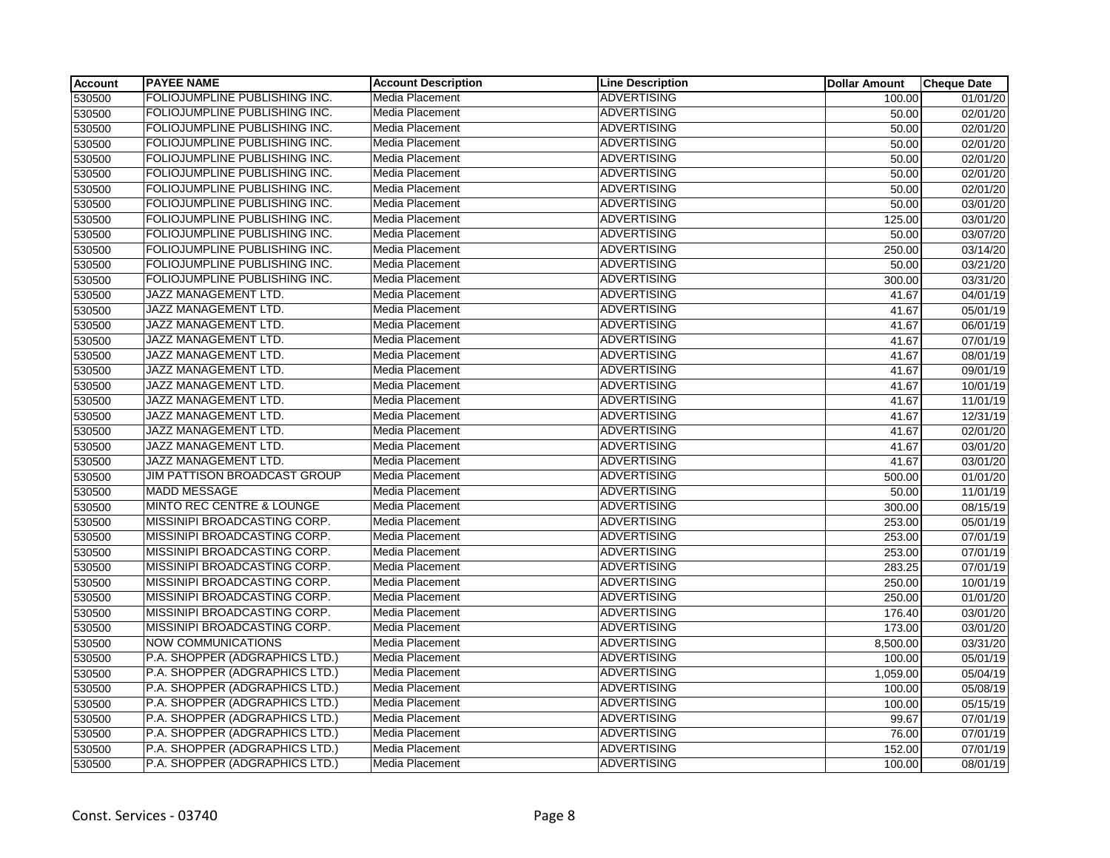| <b>Account</b> | <b>PAYEE NAME</b>                    | <b>Account Description</b> | <b>Line Description</b> | <b>Dollar Amount</b> | <b>Cheque Date</b>    |
|----------------|--------------------------------------|----------------------------|-------------------------|----------------------|-----------------------|
| 530500         | FOLIOJUMPLINE PUBLISHING INC.        | Media Placement            | <b>ADVERTISING</b>      | 100.00               | 01/01/20              |
| 530500         | FOLIOJUMPLINE PUBLISHING INC.        | Media Placement            | <b>ADVERTISING</b>      | 50.00                | 02/01/20              |
| 530500         | FOLIOJUMPLINE PUBLISHING INC.        | Media Placement            | <b>ADVERTISING</b>      | 50.00                | 02/01/20              |
| 530500         | FOLIOJUMPLINE PUBLISHING INC.        | Media Placement            | <b>ADVERTISING</b>      | 50.00                | $\overline{02/01}/20$ |
| 530500         | FOLIOJUMPLINE PUBLISHING INC.        | Media Placement            | <b>ADVERTISING</b>      | 50.00                | 02/01/20              |
| 530500         | FOLIOJUMPLINE PUBLISHING INC.        | Media Placement            | <b>ADVERTISING</b>      | 50.00                | 02/01/20              |
| 530500         | FOLIOJUMPLINE PUBLISHING INC.        | Media Placement            | <b>ADVERTISING</b>      | 50.00                | 02/01/20              |
| 530500         | FOLIOJUMPLINE PUBLISHING INC.        | Media Placement            | <b>ADVERTISING</b>      | 50.00                | 03/01/20              |
| 530500         | FOLIOJUMPLINE PUBLISHING INC.        | Media Placement            | <b>ADVERTISING</b>      | 125.00               | 03/01/20              |
| 530500         | FOLIOJUMPLINE PUBLISHING INC.        | Media Placement            | <b>ADVERTISING</b>      | 50.00                | 03/07/20              |
| 530500         | FOLIOJUMPLINE PUBLISHING INC.        | Media Placement            | <b>ADVERTISING</b>      | 250.00               | 03/14/20              |
| 530500         | FOLIOJUMPLINE PUBLISHING INC.        | Media Placement            | <b>ADVERTISING</b>      | 50.00                | 03/21/20              |
| 530500         | FOLIOJUMPLINE PUBLISHING INC.        | <b>Media Placement</b>     | <b>ADVERTISING</b>      | 300.00               | 03/31/20              |
| 530500         | JAZZ MANAGEMENT LTD.                 | Media Placement            | <b>ADVERTISING</b>      | 41.67                | $\overline{04/01/19}$ |
| 530500         | <b>JAZZ MANAGEMENT LTD.</b>          | Media Placement            | <b>ADVERTISING</b>      | 41.67                | 05/01/19              |
| 530500         | JAZZ MANAGEMENT LTD.                 | Media Placement            | <b>ADVERTISING</b>      | 41.67                | 06/01/19              |
| 530500         | JAZZ MANAGEMENT LTD.                 | Media Placement            | <b>ADVERTISING</b>      | 41.67                | 07/01/19              |
| 530500         | JAZZ MANAGEMENT LTD.                 | Media Placement            | <b>ADVERTISING</b>      | 41.67                | 08/01/19              |
| 530500         | JAZZ MANAGEMENT LTD.                 | Media Placement            | <b>ADVERTISING</b>      | 41.67                | 09/01/19              |
| 530500         | JAZZ MANAGEMENT LTD.                 | Media Placement            | <b>ADVERTISING</b>      | 41.67                | 10/01/19              |
| 530500         | JAZZ MANAGEMENT LTD.                 | Media Placement            | <b>ADVERTISING</b>      | 41.67                | 11/01/19              |
| 530500         | JAZZ MANAGEMENT LTD.                 | Media Placement            | <b>ADVERTISING</b>      | 41.67                | 12/31/19              |
| 530500         | JAZZ MANAGEMENT LTD.                 | <b>Media Placement</b>     | <b>ADVERTISING</b>      | 41.67                | 02/01/20              |
| 530500         | JAZZ MANAGEMENT LTD.                 | Media Placement            | <b>ADVERTISING</b>      | 41.67                | 03/01/20              |
| 530500         | JAZZ MANAGEMENT LTD.                 | Media Placement            | <b>ADVERTISING</b>      | 41.67                | 03/01/20              |
| 530500         | JIM PATTISON BROADCAST GROUP         | Media Placement            | <b>ADVERTISING</b>      | 500.00               | 01/01/20              |
| 530500         | <b>MADD MESSAGE</b>                  | Media Placement            | <b>ADVERTISING</b>      | 50.00                | 11/01/19              |
| 530500         | <b>MINTO REC CENTRE &amp; LOUNGE</b> | Media Placement            | <b>ADVERTISING</b>      | 300.00               | 08/15/19              |
| 530500         | MISSINIPI BROADCASTING CORP.         | Media Placement            | <b>ADVERTISING</b>      | 253.00               | 05/01/19              |
| 530500         | MISSINIPI BROADCASTING CORP.         | Media Placement            | <b>ADVERTISING</b>      | 253.00               | 07/01/19              |
| 530500         | MISSINIPI BROADCASTING CORP.         | Media Placement            | <b>ADVERTISING</b>      | 253.00               | 07/01/19              |
| 530500         | MISSINIPI BROADCASTING CORP.         | Media Placement            | <b>ADVERTISING</b>      | 283.25               | $\overline{07/01/19}$ |
| 530500         | MISSINIPI BROADCASTING CORP.         | Media Placement            | <b>ADVERTISING</b>      | 250.00               | 10/01/19              |
| 530500         | MISSINIPI BROADCASTING CORP.         | <b>Media Placement</b>     | <b>ADVERTISING</b>      | 250.00               | 01/01/20              |
| 530500         | MISSINIPI BROADCASTING CORP.         | Media Placement            | <b>ADVERTISING</b>      | 176.40               | 03/01/20              |
| 530500         | MISSINIPI BROADCASTING CORP.         | Media Placement            | <b>ADVERTISING</b>      | 173.00               | 03/01/20              |
| 530500         | <b>NOW COMMUNICATIONS</b>            | Media Placement            | <b>ADVERTISING</b>      | 8,500.00             | 03/31/20              |
| 530500         | P.A. SHOPPER (ADGRAPHICS LTD.)       | Media Placement            | <b>ADVERTISING</b>      | 100.00               | 05/01/19              |
| 530500         | P.A. SHOPPER (ADGRAPHICS LTD.)       | Media Placement            | <b>ADVERTISING</b>      | 1,059.00             | 05/04/19              |
| 530500         | P.A. SHOPPER (ADGRAPHICS LTD.)       | Media Placement            | <b>ADVERTISING</b>      | 100.00               | 05/08/19              |
| 530500         | P.A. SHOPPER (ADGRAPHICS LTD.)       | Media Placement            | <b>ADVERTISING</b>      | 100.00               | 05/15/19              |
| 530500         | P.A. SHOPPER (ADGRAPHICS LTD.)       | Media Placement            | <b>ADVERTISING</b>      | 99.67                | 07/01/19              |
| 530500         | P.A. SHOPPER (ADGRAPHICS LTD.)       | Media Placement            | <b>ADVERTISING</b>      | 76.00                | 07/01/19              |
| 530500         | P.A. SHOPPER (ADGRAPHICS LTD.)       | Media Placement            | <b>ADVERTISING</b>      | 152.00               | 07/01/19              |
| 530500         | P.A. SHOPPER (ADGRAPHICS LTD.)       | Media Placement            | <b>ADVERTISING</b>      | 100.00               | 08/01/19              |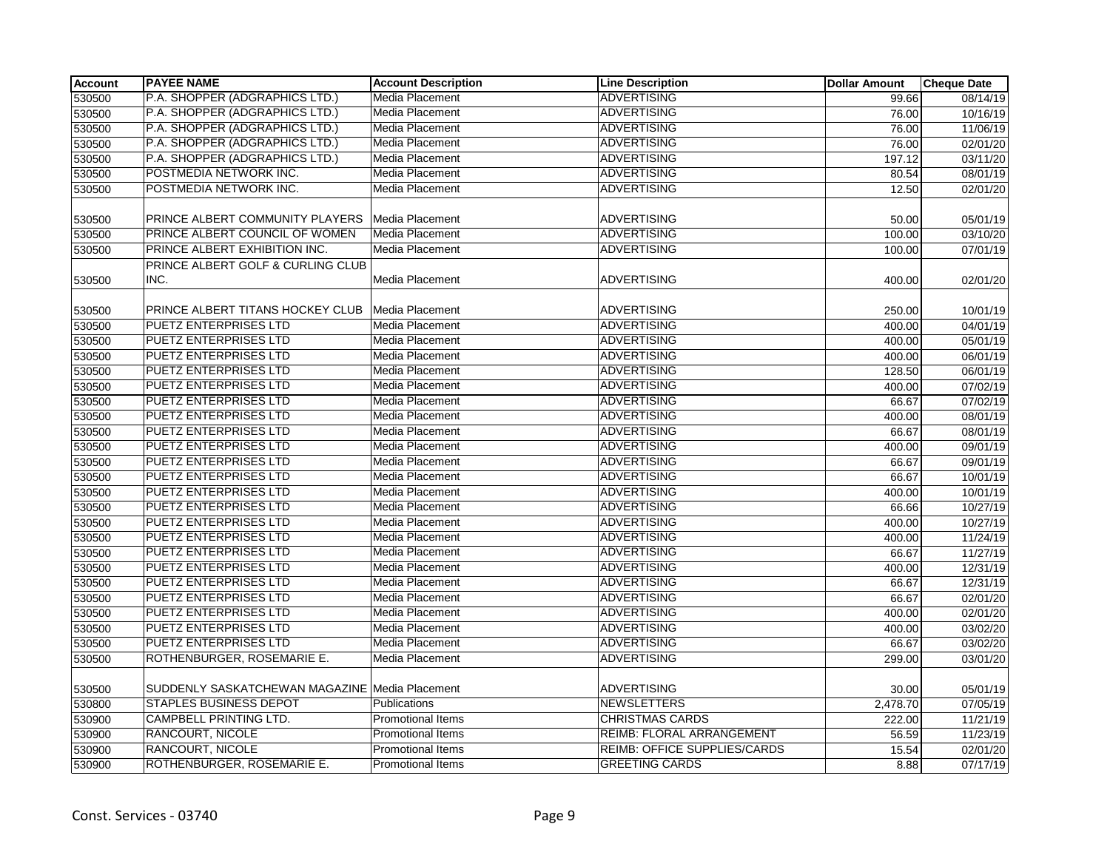| <b>Account</b> | <b>PAYEE NAME</b>                                | <b>Account Description</b> | <b>Line Description</b>             | <b>Dollar Amount</b> | <b>Cheque Date</b> |
|----------------|--------------------------------------------------|----------------------------|-------------------------------------|----------------------|--------------------|
| 530500         | P.A. SHOPPER (ADGRAPHICS LTD.)                   | Media Placement            | <b>ADVERTISING</b>                  | 99.66                | 08/14/19           |
| 530500         | P.A. SHOPPER (ADGRAPHICS LTD.)                   | <b>Media Placement</b>     | <b>ADVERTISING</b>                  | 76.00                | 10/16/19           |
| 530500         | P.A. SHOPPER (ADGRAPHICS LTD.)                   | Media Placement            | <b>ADVERTISING</b>                  | 76.00                | 11/06/19           |
| 530500         | P.A. SHOPPER (ADGRAPHICS LTD.)                   | <b>Media Placement</b>     | <b>ADVERTISING</b>                  | 76.00                | 02/01/20           |
| 530500         | P.A. SHOPPER (ADGRAPHICS LTD.)                   | Media Placement            | <b>ADVERTISING</b>                  | 197.12               | 03/11/20           |
| 530500         | POSTMEDIA NETWORK INC.                           | Media Placement            | <b>ADVERTISING</b>                  | 80.54                | 08/01/19           |
| 530500         | POSTMEDIA NETWORK INC.                           | <b>Media Placement</b>     | <b>ADVERTISING</b>                  | 12.50                | 02/01/20           |
| 530500         | PRINCE ALBERT COMMUNITY PLAYERS                  | Media Placement            | <b>ADVERTISING</b>                  | 50.00                | 05/01/19           |
| 530500         | PRINCE ALBERT COUNCIL OF WOMEN                   | <b>Media Placement</b>     | <b>ADVERTISING</b>                  | 100.00               | 03/10/20           |
| 530500         | PRINCE ALBERT EXHIBITION INC.                    | Media Placement            | <b>ADVERTISING</b>                  | 100.00               | 07/01/19           |
|                | PRINCE ALBERT GOLF & CURLING CLUB                |                            |                                     |                      |                    |
| 530500         | INC.                                             | Media Placement            | <b>ADVERTISING</b>                  | 400.00               | 02/01/20           |
|                |                                                  |                            |                                     |                      |                    |
| 530500         | PRINCE ALBERT TITANS HOCKEY CLUB                 | Media Placement            | <b>ADVERTISING</b>                  | 250.00               | 10/01/19           |
| 530500         | PUETZ ENTERPRISES LTD                            | Media Placement            | <b>ADVERTISING</b>                  | 400.00               | 04/01/19           |
| 530500         | <b>PUETZ ENTERPRISES LTD</b>                     | Media Placement            | <b>ADVERTISING</b>                  | 400.00               | 05/01/19           |
| 530500         | PUETZ ENTERPRISES LTD                            | Media Placement            | <b>ADVERTISING</b>                  | 400.00               | 06/01/19           |
| 530500         | PUETZ ENTERPRISES LTD                            | Media Placement            | <b>ADVERTISING</b>                  | 128.50               | 06/01/19           |
| 530500         | PUETZ ENTERPRISES LTD                            | Media Placement            | <b>ADVERTISING</b>                  | 400.00               | 07/02/19           |
| 530500         | <b>PUETZ ENTERPRISES LTD</b>                     | Media Placement            | <b>ADVERTISING</b>                  | 66.67                | 07/02/19           |
| 530500         | <b>PUETZ ENTERPRISES LTD</b>                     | Media Placement            | <b>ADVERTISING</b>                  | 400.00               | 08/01/19           |
| 530500         | PUETZ ENTERPRISES LTD                            | Media Placement            | <b>ADVERTISING</b>                  | 66.67                | 08/01/19           |
| 530500         | PUETZ ENTERPRISES LTD                            | Media Placement            | <b>ADVERTISING</b>                  | 400.00               | 09/01/19           |
| 530500         | PUETZ ENTERPRISES LTD                            | <b>Media Placement</b>     | <b>ADVERTISING</b>                  | 66.67                | 09/01/19           |
| 530500         | <b>PUETZ ENTERPRISES LTD</b>                     | Media Placement            | <b>ADVERTISING</b>                  | 66.67                | 10/01/19           |
| 530500         | <b>PUETZ ENTERPRISES LTD</b>                     | Media Placement            | <b>ADVERTISING</b>                  | 400.00               | 10/01/19           |
| 530500         | PUETZ ENTERPRISES LTD                            | Media Placement            | <b>ADVERTISING</b>                  | 66.66                | 10/27/19           |
| 530500         | PUETZ ENTERPRISES LTD                            | <b>Media Placement</b>     | <b>ADVERTISING</b>                  | 400.00               | 10/27/19           |
| 530500         | PUETZ ENTERPRISES LTD                            | Media Placement            | <b>ADVERTISING</b>                  | 400.00               | 11/24/19           |
| 530500         | PUETZ ENTERPRISES LTD                            | Media Placement            | <b>ADVERTISING</b>                  | 66.67                | 11/27/19           |
| 530500         | PUETZ ENTERPRISES LTD                            | Media Placement            | <b>ADVERTISING</b>                  | 400.00               | 12/31/19           |
| 530500         | PUETZ ENTERPRISES LTD                            | Media Placement            | <b>ADVERTISING</b>                  | 66.67                | 12/31/19           |
| 530500         | <b>PUETZ ENTERPRISES LTD</b>                     | Media Placement            | <b>ADVERTISING</b>                  | 66.67                | 02/01/20           |
| 530500         | PUETZ ENTERPRISES LTD                            | Media Placement            | <b>ADVERTISING</b>                  | 400.00               | 02/01/20           |
| 530500         | <b>PUETZ ENTERPRISES LTD</b>                     | Media Placement            | <b>ADVERTISING</b>                  | 400.00               | 03/02/20           |
| 530500         | <b>PUETZ ENTERPRISES LTD</b>                     | Media Placement            | <b>ADVERTISING</b>                  | 66.67                | 03/02/20           |
| 530500         | ROTHENBURGER, ROSEMARIE E.                       | Media Placement            | <b>ADVERTISING</b>                  | 299.00               | 03/01/20           |
| 530500         | SUDDENLY SASKATCHEWAN MAGAZINE   Media Placement |                            | <b>ADVERTISING</b>                  | 30.00                | 05/01/19           |
| 530800         | <b>STAPLES BUSINESS DEPOT</b>                    | Publications               | <b>NEWSLETTERS</b>                  | 2,478.70             | 07/05/19           |
| 530900         | <b>CAMPBELL PRINTING LTD.</b>                    | Promotional Items          | <b>CHRISTMAS CARDS</b>              | 222.00               | 11/21/19           |
| 530900         | <b>RANCOURT, NICOLE</b>                          | Promotional Items          | REIMB: FLORAL ARRANGEMENT           | 56.59                | 11/23/19           |
| 530900         | RANCOURT, NICOLE                                 | Promotional Items          | <b>REIMB: OFFICE SUPPLIES/CARDS</b> | 15.54                | 02/01/20           |
| 530900         | ROTHENBURGER, ROSEMARIE E.                       | <b>Promotional Items</b>   | <b>GREETING CARDS</b>               | 8.88                 | 07/17/19           |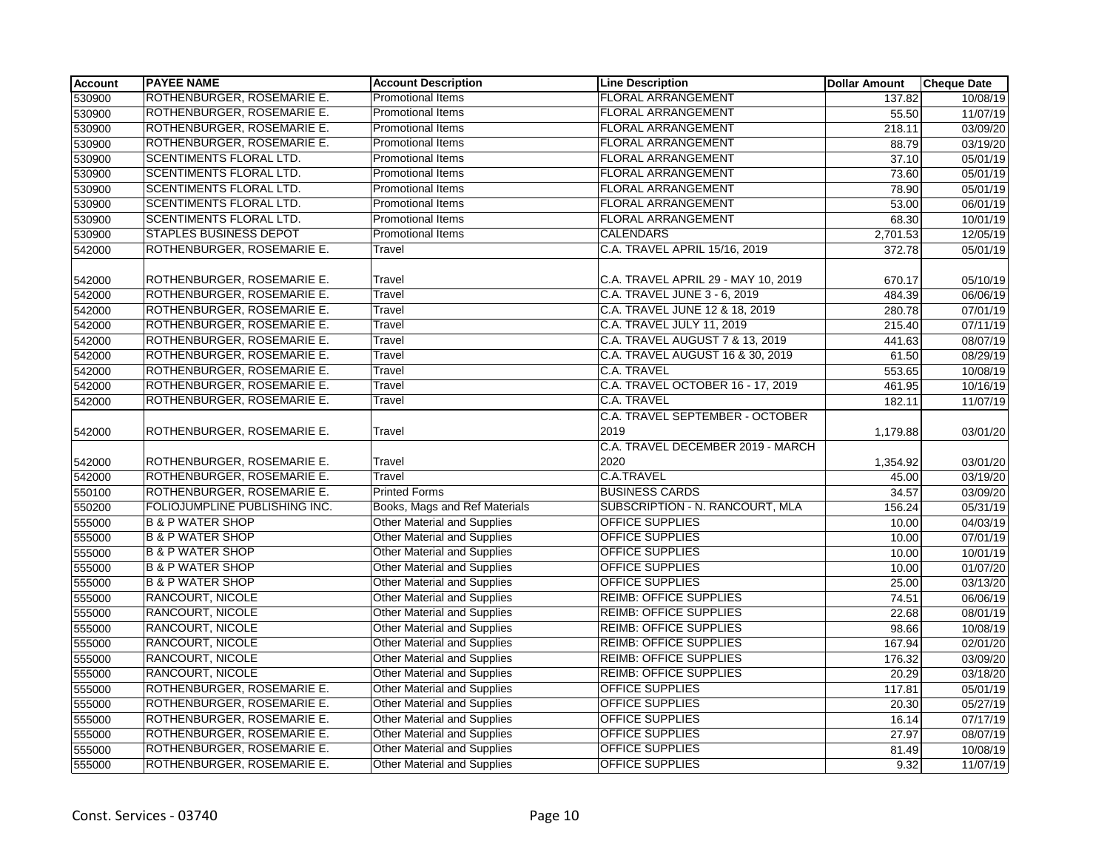| 530900<br>ROTHENBURGER, ROSEMARIE E.<br>FLORAL ARRANGEMENT<br><b>Promotional Items</b><br>137.82<br>10/08/19<br><b>Promotional Items</b><br><b>FLORAL ARRANGEMENT</b><br>ROTHENBURGER, ROSEMARIE E.<br>530900<br>55.50<br>11/07/19<br>ROTHENBURGER, ROSEMARIE E.<br>Promotional Items<br>FLORAL ARRANGEMENT<br>530900<br>03/09/20<br>218.11<br>ROTHENBURGER, ROSEMARIE E.<br><b>Promotional Items</b><br><b>FLORAL ARRANGEMENT</b><br>530900<br>88.79<br>03/19/20<br>FLORAL ARRANGEMENT<br>530900<br>SCENTIMENTS FLORAL LTD.<br><b>Promotional Items</b><br>37.10<br>05/01/19<br>530900<br>SCENTIMENTS FLORAL LTD.<br>Promotional Items<br>FLORAL ARRANGEMENT<br>73.60<br>05/01/19<br><b>SCENTIMENTS FLORAL LTD.</b><br><b>Promotional Items</b><br><b>FLORAL ARRANGEMENT</b><br>530900<br>78.90<br>05/01/19<br>SCENTIMENTS FLORAL LTD.<br><b>FLORAL ARRANGEMENT</b><br>530900<br><b>Promotional Items</b><br>53.00<br>06/01/19<br>SCENTIMENTS FLORAL LTD.<br><b>FLORAL ARRANGEMENT</b><br>530900<br><b>Promotional Items</b><br>10/01/19<br>68.30<br><b>STAPLES BUSINESS DEPOT</b><br>Promotional Items<br><b>CALENDARS</b><br>530900<br>2,701.53<br>12/05/19<br>ROTHENBURGER, ROSEMARIE E.<br>C.A. TRAVEL APRIL 15/16, 2019<br>542000<br>Travel<br>372.78<br>05/01/19<br>C.A. TRAVEL APRIL 29 - MAY 10, 2019<br>ROTHENBURGER, ROSEMARIE E.<br>Travel<br>05/10/19<br>542000<br>670.17<br>ROTHENBURGER, ROSEMARIE E.<br>C.A. TRAVEL JUNE 3 - 6, 2019<br>542000<br>Travel<br>06/06/19<br>484.39<br>ROTHENBURGER, ROSEMARIE E.<br>C.A. TRAVEL JUNE 12 & 18, 2019<br>Travel<br>542000<br>280.78<br>07/01/19<br>ROTHENBURGER, ROSEMARIE E.<br>C.A. TRAVEL JULY 11, 2019<br>542000<br>Travel<br>215.40<br>07/11/19<br>ROTHENBURGER, ROSEMARIE E.<br>C.A. TRAVEL AUGUST 7 & 13, 2019<br>542000<br>Travel<br>441.63<br>08/07/19<br>542000<br>ROTHENBURGER, ROSEMARIE E.<br>Travel<br>C.A. TRAVEL AUGUST 16 & 30, 2019<br>61.50<br>08/29/19<br>ROTHENBURGER, ROSEMARIE E.<br>Travel<br><b>C.A. TRAVEL</b><br>10/08/19<br>542000<br>553.65<br>ROTHENBURGER, ROSEMARIE E.<br>C.A. TRAVEL OCTOBER 16 - 17, 2019<br>542000<br>Travel<br>461.95<br>10/16/19<br>ROTHENBURGER, ROSEMARIE E.<br>C.A. TRAVEL<br>Travel<br>182.11<br>11/07/19<br>542000<br>C.A. TRAVEL SEPTEMBER - OCTOBER<br>ROTHENBURGER, ROSEMARIE E.<br>2019<br>Travel<br>542000<br>1,179.88<br>03/01/20<br>C.A. TRAVEL DECEMBER 2019 - MARCH<br>2020<br>ROTHENBURGER, ROSEMARIE E.<br>Travel<br>542000<br>1,354.92<br>03/01/20 |
|-----------------------------------------------------------------------------------------------------------------------------------------------------------------------------------------------------------------------------------------------------------------------------------------------------------------------------------------------------------------------------------------------------------------------------------------------------------------------------------------------------------------------------------------------------------------------------------------------------------------------------------------------------------------------------------------------------------------------------------------------------------------------------------------------------------------------------------------------------------------------------------------------------------------------------------------------------------------------------------------------------------------------------------------------------------------------------------------------------------------------------------------------------------------------------------------------------------------------------------------------------------------------------------------------------------------------------------------------------------------------------------------------------------------------------------------------------------------------------------------------------------------------------------------------------------------------------------------------------------------------------------------------------------------------------------------------------------------------------------------------------------------------------------------------------------------------------------------------------------------------------------------------------------------------------------------------------------------------------------------------------------------------------------------------------------------------------------------------------------------------------------------------------------------------------------------------------------------------------------------------------------------------------------------------------------------------------------------------------------------------------------------------------------------------------------------------------------------------------------|
|                                                                                                                                                                                                                                                                                                                                                                                                                                                                                                                                                                                                                                                                                                                                                                                                                                                                                                                                                                                                                                                                                                                                                                                                                                                                                                                                                                                                                                                                                                                                                                                                                                                                                                                                                                                                                                                                                                                                                                                                                                                                                                                                                                                                                                                                                                                                                                                                                                                                                   |
|                                                                                                                                                                                                                                                                                                                                                                                                                                                                                                                                                                                                                                                                                                                                                                                                                                                                                                                                                                                                                                                                                                                                                                                                                                                                                                                                                                                                                                                                                                                                                                                                                                                                                                                                                                                                                                                                                                                                                                                                                                                                                                                                                                                                                                                                                                                                                                                                                                                                                   |
|                                                                                                                                                                                                                                                                                                                                                                                                                                                                                                                                                                                                                                                                                                                                                                                                                                                                                                                                                                                                                                                                                                                                                                                                                                                                                                                                                                                                                                                                                                                                                                                                                                                                                                                                                                                                                                                                                                                                                                                                                                                                                                                                                                                                                                                                                                                                                                                                                                                                                   |
|                                                                                                                                                                                                                                                                                                                                                                                                                                                                                                                                                                                                                                                                                                                                                                                                                                                                                                                                                                                                                                                                                                                                                                                                                                                                                                                                                                                                                                                                                                                                                                                                                                                                                                                                                                                                                                                                                                                                                                                                                                                                                                                                                                                                                                                                                                                                                                                                                                                                                   |
|                                                                                                                                                                                                                                                                                                                                                                                                                                                                                                                                                                                                                                                                                                                                                                                                                                                                                                                                                                                                                                                                                                                                                                                                                                                                                                                                                                                                                                                                                                                                                                                                                                                                                                                                                                                                                                                                                                                                                                                                                                                                                                                                                                                                                                                                                                                                                                                                                                                                                   |
|                                                                                                                                                                                                                                                                                                                                                                                                                                                                                                                                                                                                                                                                                                                                                                                                                                                                                                                                                                                                                                                                                                                                                                                                                                                                                                                                                                                                                                                                                                                                                                                                                                                                                                                                                                                                                                                                                                                                                                                                                                                                                                                                                                                                                                                                                                                                                                                                                                                                                   |
|                                                                                                                                                                                                                                                                                                                                                                                                                                                                                                                                                                                                                                                                                                                                                                                                                                                                                                                                                                                                                                                                                                                                                                                                                                                                                                                                                                                                                                                                                                                                                                                                                                                                                                                                                                                                                                                                                                                                                                                                                                                                                                                                                                                                                                                                                                                                                                                                                                                                                   |
|                                                                                                                                                                                                                                                                                                                                                                                                                                                                                                                                                                                                                                                                                                                                                                                                                                                                                                                                                                                                                                                                                                                                                                                                                                                                                                                                                                                                                                                                                                                                                                                                                                                                                                                                                                                                                                                                                                                                                                                                                                                                                                                                                                                                                                                                                                                                                                                                                                                                                   |
|                                                                                                                                                                                                                                                                                                                                                                                                                                                                                                                                                                                                                                                                                                                                                                                                                                                                                                                                                                                                                                                                                                                                                                                                                                                                                                                                                                                                                                                                                                                                                                                                                                                                                                                                                                                                                                                                                                                                                                                                                                                                                                                                                                                                                                                                                                                                                                                                                                                                                   |
|                                                                                                                                                                                                                                                                                                                                                                                                                                                                                                                                                                                                                                                                                                                                                                                                                                                                                                                                                                                                                                                                                                                                                                                                                                                                                                                                                                                                                                                                                                                                                                                                                                                                                                                                                                                                                                                                                                                                                                                                                                                                                                                                                                                                                                                                                                                                                                                                                                                                                   |
|                                                                                                                                                                                                                                                                                                                                                                                                                                                                                                                                                                                                                                                                                                                                                                                                                                                                                                                                                                                                                                                                                                                                                                                                                                                                                                                                                                                                                                                                                                                                                                                                                                                                                                                                                                                                                                                                                                                                                                                                                                                                                                                                                                                                                                                                                                                                                                                                                                                                                   |
|                                                                                                                                                                                                                                                                                                                                                                                                                                                                                                                                                                                                                                                                                                                                                                                                                                                                                                                                                                                                                                                                                                                                                                                                                                                                                                                                                                                                                                                                                                                                                                                                                                                                                                                                                                                                                                                                                                                                                                                                                                                                                                                                                                                                                                                                                                                                                                                                                                                                                   |
|                                                                                                                                                                                                                                                                                                                                                                                                                                                                                                                                                                                                                                                                                                                                                                                                                                                                                                                                                                                                                                                                                                                                                                                                                                                                                                                                                                                                                                                                                                                                                                                                                                                                                                                                                                                                                                                                                                                                                                                                                                                                                                                                                                                                                                                                                                                                                                                                                                                                                   |
|                                                                                                                                                                                                                                                                                                                                                                                                                                                                                                                                                                                                                                                                                                                                                                                                                                                                                                                                                                                                                                                                                                                                                                                                                                                                                                                                                                                                                                                                                                                                                                                                                                                                                                                                                                                                                                                                                                                                                                                                                                                                                                                                                                                                                                                                                                                                                                                                                                                                                   |
|                                                                                                                                                                                                                                                                                                                                                                                                                                                                                                                                                                                                                                                                                                                                                                                                                                                                                                                                                                                                                                                                                                                                                                                                                                                                                                                                                                                                                                                                                                                                                                                                                                                                                                                                                                                                                                                                                                                                                                                                                                                                                                                                                                                                                                                                                                                                                                                                                                                                                   |
|                                                                                                                                                                                                                                                                                                                                                                                                                                                                                                                                                                                                                                                                                                                                                                                                                                                                                                                                                                                                                                                                                                                                                                                                                                                                                                                                                                                                                                                                                                                                                                                                                                                                                                                                                                                                                                                                                                                                                                                                                                                                                                                                                                                                                                                                                                                                                                                                                                                                                   |
|                                                                                                                                                                                                                                                                                                                                                                                                                                                                                                                                                                                                                                                                                                                                                                                                                                                                                                                                                                                                                                                                                                                                                                                                                                                                                                                                                                                                                                                                                                                                                                                                                                                                                                                                                                                                                                                                                                                                                                                                                                                                                                                                                                                                                                                                                                                                                                                                                                                                                   |
|                                                                                                                                                                                                                                                                                                                                                                                                                                                                                                                                                                                                                                                                                                                                                                                                                                                                                                                                                                                                                                                                                                                                                                                                                                                                                                                                                                                                                                                                                                                                                                                                                                                                                                                                                                                                                                                                                                                                                                                                                                                                                                                                                                                                                                                                                                                                                                                                                                                                                   |
|                                                                                                                                                                                                                                                                                                                                                                                                                                                                                                                                                                                                                                                                                                                                                                                                                                                                                                                                                                                                                                                                                                                                                                                                                                                                                                                                                                                                                                                                                                                                                                                                                                                                                                                                                                                                                                                                                                                                                                                                                                                                                                                                                                                                                                                                                                                                                                                                                                                                                   |
|                                                                                                                                                                                                                                                                                                                                                                                                                                                                                                                                                                                                                                                                                                                                                                                                                                                                                                                                                                                                                                                                                                                                                                                                                                                                                                                                                                                                                                                                                                                                                                                                                                                                                                                                                                                                                                                                                                                                                                                                                                                                                                                                                                                                                                                                                                                                                                                                                                                                                   |
|                                                                                                                                                                                                                                                                                                                                                                                                                                                                                                                                                                                                                                                                                                                                                                                                                                                                                                                                                                                                                                                                                                                                                                                                                                                                                                                                                                                                                                                                                                                                                                                                                                                                                                                                                                                                                                                                                                                                                                                                                                                                                                                                                                                                                                                                                                                                                                                                                                                                                   |
|                                                                                                                                                                                                                                                                                                                                                                                                                                                                                                                                                                                                                                                                                                                                                                                                                                                                                                                                                                                                                                                                                                                                                                                                                                                                                                                                                                                                                                                                                                                                                                                                                                                                                                                                                                                                                                                                                                                                                                                                                                                                                                                                                                                                                                                                                                                                                                                                                                                                                   |
|                                                                                                                                                                                                                                                                                                                                                                                                                                                                                                                                                                                                                                                                                                                                                                                                                                                                                                                                                                                                                                                                                                                                                                                                                                                                                                                                                                                                                                                                                                                                                                                                                                                                                                                                                                                                                                                                                                                                                                                                                                                                                                                                                                                                                                                                                                                                                                                                                                                                                   |
|                                                                                                                                                                                                                                                                                                                                                                                                                                                                                                                                                                                                                                                                                                                                                                                                                                                                                                                                                                                                                                                                                                                                                                                                                                                                                                                                                                                                                                                                                                                                                                                                                                                                                                                                                                                                                                                                                                                                                                                                                                                                                                                                                                                                                                                                                                                                                                                                                                                                                   |
|                                                                                                                                                                                                                                                                                                                                                                                                                                                                                                                                                                                                                                                                                                                                                                                                                                                                                                                                                                                                                                                                                                                                                                                                                                                                                                                                                                                                                                                                                                                                                                                                                                                                                                                                                                                                                                                                                                                                                                                                                                                                                                                                                                                                                                                                                                                                                                                                                                                                                   |
| ROTHENBURGER, ROSEMARIE E.<br>Travel<br>C.A.TRAVEL<br>542000<br>45.00<br>03/19/20                                                                                                                                                                                                                                                                                                                                                                                                                                                                                                                                                                                                                                                                                                                                                                                                                                                                                                                                                                                                                                                                                                                                                                                                                                                                                                                                                                                                                                                                                                                                                                                                                                                                                                                                                                                                                                                                                                                                                                                                                                                                                                                                                                                                                                                                                                                                                                                                 |
| <b>BUSINESS CARDS</b><br>550100<br>ROTHENBURGER, ROSEMARIE E.<br><b>Printed Forms</b><br>34.57<br>03/09/20                                                                                                                                                                                                                                                                                                                                                                                                                                                                                                                                                                                                                                                                                                                                                                                                                                                                                                                                                                                                                                                                                                                                                                                                                                                                                                                                                                                                                                                                                                                                                                                                                                                                                                                                                                                                                                                                                                                                                                                                                                                                                                                                                                                                                                                                                                                                                                        |
| Books, Mags and Ref Materials<br>SUBSCRIPTION - N. RANCOURT, MLA<br>550200<br>FOLIOJUMPLINE PUBLISHING INC.<br>05/31/19<br>156.24                                                                                                                                                                                                                                                                                                                                                                                                                                                                                                                                                                                                                                                                                                                                                                                                                                                                                                                                                                                                                                                                                                                                                                                                                                                                                                                                                                                                                                                                                                                                                                                                                                                                                                                                                                                                                                                                                                                                                                                                                                                                                                                                                                                                                                                                                                                                                 |
| <b>B &amp; P WATER SHOP</b><br><b>Other Material and Supplies</b><br><b>OFFICE SUPPLIES</b><br>10.00<br>04/03/19<br>555000                                                                                                                                                                                                                                                                                                                                                                                                                                                                                                                                                                                                                                                                                                                                                                                                                                                                                                                                                                                                                                                                                                                                                                                                                                                                                                                                                                                                                                                                                                                                                                                                                                                                                                                                                                                                                                                                                                                                                                                                                                                                                                                                                                                                                                                                                                                                                        |
| <b>B &amp; P WATER SHOP</b><br><b>Other Material and Supplies</b><br>OFFICE SUPPLIES<br>10.00<br>07/01/19<br>555000                                                                                                                                                                                                                                                                                                                                                                                                                                                                                                                                                                                                                                                                                                                                                                                                                                                                                                                                                                                                                                                                                                                                                                                                                                                                                                                                                                                                                                                                                                                                                                                                                                                                                                                                                                                                                                                                                                                                                                                                                                                                                                                                                                                                                                                                                                                                                               |
| <b>B &amp; P WATER SHOP</b><br><b>Other Material and Supplies</b><br>OFFICE SUPPLIES<br>555000<br>10.00<br>10/01/19                                                                                                                                                                                                                                                                                                                                                                                                                                                                                                                                                                                                                                                                                                                                                                                                                                                                                                                                                                                                                                                                                                                                                                                                                                                                                                                                                                                                                                                                                                                                                                                                                                                                                                                                                                                                                                                                                                                                                                                                                                                                                                                                                                                                                                                                                                                                                               |
| <b>B &amp; P WATER SHOP</b><br>Other Material and Supplies<br><b>OFFICE SUPPLIES</b><br>555000<br>10.00<br>01/07/20                                                                                                                                                                                                                                                                                                                                                                                                                                                                                                                                                                                                                                                                                                                                                                                                                                                                                                                                                                                                                                                                                                                                                                                                                                                                                                                                                                                                                                                                                                                                                                                                                                                                                                                                                                                                                                                                                                                                                                                                                                                                                                                                                                                                                                                                                                                                                               |
| <b>B &amp; P WATER SHOP</b><br><b>Other Material and Supplies</b><br><b>OFFICE SUPPLIES</b><br>555000<br>25.00<br>03/13/20                                                                                                                                                                                                                                                                                                                                                                                                                                                                                                                                                                                                                                                                                                                                                                                                                                                                                                                                                                                                                                                                                                                                                                                                                                                                                                                                                                                                                                                                                                                                                                                                                                                                                                                                                                                                                                                                                                                                                                                                                                                                                                                                                                                                                                                                                                                                                        |
| <b>REIMB: OFFICE SUPPLIES</b><br>RANCOURT, NICOLE<br><b>Other Material and Supplies</b><br>555000<br>74.51<br>06/06/19                                                                                                                                                                                                                                                                                                                                                                                                                                                                                                                                                                                                                                                                                                                                                                                                                                                                                                                                                                                                                                                                                                                                                                                                                                                                                                                                                                                                                                                                                                                                                                                                                                                                                                                                                                                                                                                                                                                                                                                                                                                                                                                                                                                                                                                                                                                                                            |
| RANCOURT, NICOLE<br><b>Other Material and Supplies</b><br><b>REIMB: OFFICE SUPPLIES</b><br>555000<br>22.68<br>08/01/19                                                                                                                                                                                                                                                                                                                                                                                                                                                                                                                                                                                                                                                                                                                                                                                                                                                                                                                                                                                                                                                                                                                                                                                                                                                                                                                                                                                                                                                                                                                                                                                                                                                                                                                                                                                                                                                                                                                                                                                                                                                                                                                                                                                                                                                                                                                                                            |
| RANCOURT, NICOLE<br>Other Material and Supplies<br><b>REIMB: OFFICE SUPPLIES</b><br>555000<br>98.66<br>10/08/19                                                                                                                                                                                                                                                                                                                                                                                                                                                                                                                                                                                                                                                                                                                                                                                                                                                                                                                                                                                                                                                                                                                                                                                                                                                                                                                                                                                                                                                                                                                                                                                                                                                                                                                                                                                                                                                                                                                                                                                                                                                                                                                                                                                                                                                                                                                                                                   |
| <b>RANCOURT, NICOLE</b><br><b>Other Material and Supplies</b><br><b>REIMB: OFFICE SUPPLIES</b><br>02/01/20<br>555000<br>167.94                                                                                                                                                                                                                                                                                                                                                                                                                                                                                                                                                                                                                                                                                                                                                                                                                                                                                                                                                                                                                                                                                                                                                                                                                                                                                                                                                                                                                                                                                                                                                                                                                                                                                                                                                                                                                                                                                                                                                                                                                                                                                                                                                                                                                                                                                                                                                    |
| RANCOURT, NICOLE<br><b>Other Material and Supplies</b><br><b>REIMB: OFFICE SUPPLIES</b><br>03/09/20<br>555000<br>176.32                                                                                                                                                                                                                                                                                                                                                                                                                                                                                                                                                                                                                                                                                                                                                                                                                                                                                                                                                                                                                                                                                                                                                                                                                                                                                                                                                                                                                                                                                                                                                                                                                                                                                                                                                                                                                                                                                                                                                                                                                                                                                                                                                                                                                                                                                                                                                           |
| RANCOURT, NICOLE<br>Other Material and Supplies<br><b>REIMB: OFFICE SUPPLIES</b><br>555000<br>20.29<br>03/18/20                                                                                                                                                                                                                                                                                                                                                                                                                                                                                                                                                                                                                                                                                                                                                                                                                                                                                                                                                                                                                                                                                                                                                                                                                                                                                                                                                                                                                                                                                                                                                                                                                                                                                                                                                                                                                                                                                                                                                                                                                                                                                                                                                                                                                                                                                                                                                                   |
| Other Material and Supplies<br>ROTHENBURGER, ROSEMARIE E.<br><b>OFFICE SUPPLIES</b><br>555000<br>117.81<br>05/01/19                                                                                                                                                                                                                                                                                                                                                                                                                                                                                                                                                                                                                                                                                                                                                                                                                                                                                                                                                                                                                                                                                                                                                                                                                                                                                                                                                                                                                                                                                                                                                                                                                                                                                                                                                                                                                                                                                                                                                                                                                                                                                                                                                                                                                                                                                                                                                               |
| Other Material and Supplies<br>ROTHENBURGER, ROSEMARIE E.<br>OFFICE SUPPLIES<br>05/27/19<br>555000<br>20.30                                                                                                                                                                                                                                                                                                                                                                                                                                                                                                                                                                                                                                                                                                                                                                                                                                                                                                                                                                                                                                                                                                                                                                                                                                                                                                                                                                                                                                                                                                                                                                                                                                                                                                                                                                                                                                                                                                                                                                                                                                                                                                                                                                                                                                                                                                                                                                       |
| Other Material and Supplies<br><b>OFFICE SUPPLIES</b><br>ROTHENBURGER, ROSEMARIE E.<br>07/17/19<br>555000<br>16.14                                                                                                                                                                                                                                                                                                                                                                                                                                                                                                                                                                                                                                                                                                                                                                                                                                                                                                                                                                                                                                                                                                                                                                                                                                                                                                                                                                                                                                                                                                                                                                                                                                                                                                                                                                                                                                                                                                                                                                                                                                                                                                                                                                                                                                                                                                                                                                |
| <b>Other Material and Supplies</b><br><b>OFFICE SUPPLIES</b><br>ROTHENBURGER, ROSEMARIE E.<br>08/07/19<br>555000<br>27.97                                                                                                                                                                                                                                                                                                                                                                                                                                                                                                                                                                                                                                                                                                                                                                                                                                                                                                                                                                                                                                                                                                                                                                                                                                                                                                                                                                                                                                                                                                                                                                                                                                                                                                                                                                                                                                                                                                                                                                                                                                                                                                                                                                                                                                                                                                                                                         |
| <b>Other Material and Supplies</b><br><b>OFFICE SUPPLIES</b><br>ROTHENBURGER, ROSEMARIE E.<br>555000<br>10/08/19<br>81.49                                                                                                                                                                                                                                                                                                                                                                                                                                                                                                                                                                                                                                                                                                                                                                                                                                                                                                                                                                                                                                                                                                                                                                                                                                                                                                                                                                                                                                                                                                                                                                                                                                                                                                                                                                                                                                                                                                                                                                                                                                                                                                                                                                                                                                                                                                                                                         |
| <b>Other Material and Supplies</b><br><b>OFFICE SUPPLIES</b><br>ROTHENBURGER, ROSEMARIE E.<br>555000<br>9.32<br>11/07/19                                                                                                                                                                                                                                                                                                                                                                                                                                                                                                                                                                                                                                                                                                                                                                                                                                                                                                                                                                                                                                                                                                                                                                                                                                                                                                                                                                                                                                                                                                                                                                                                                                                                                                                                                                                                                                                                                                                                                                                                                                                                                                                                                                                                                                                                                                                                                          |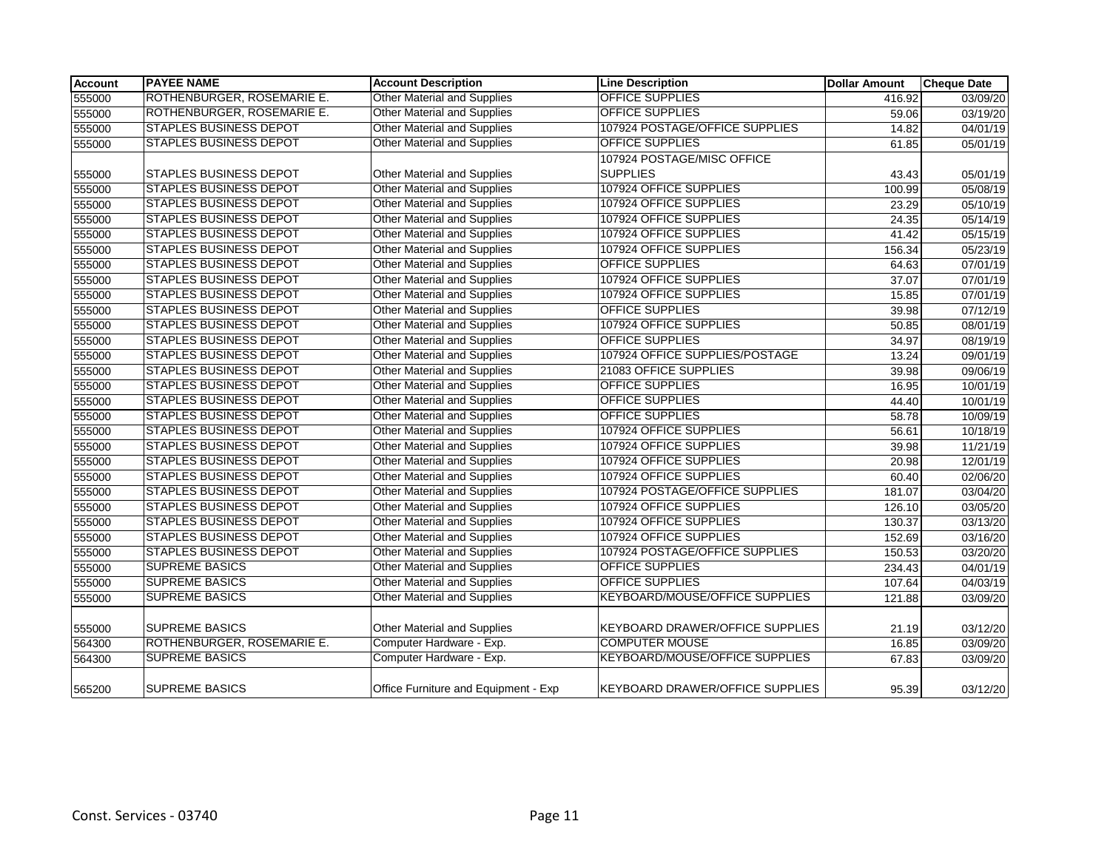| <b>Account</b> | <b>PAYEE NAME</b>             | <b>Account Description</b>           | <b>Line Description</b>                | <b>Dollar Amount</b> | <b>Cheque Date</b> |
|----------------|-------------------------------|--------------------------------------|----------------------------------------|----------------------|--------------------|
| 555000         | ROTHENBURGER, ROSEMARIE E.    | Other Material and Supplies          | <b>OFFICE SUPPLIES</b>                 | 416.92               | 03/09/20           |
| 555000         | ROTHENBURGER, ROSEMARIE E.    | <b>Other Material and Supplies</b>   | <b>OFFICE SUPPLIES</b>                 | 59.06                | 03/19/20           |
| 555000         | <b>STAPLES BUSINESS DEPOT</b> | <b>Other Material and Supplies</b>   | 107924 POSTAGE/OFFICE SUPPLIES         | 14.82                | 04/01/19           |
| 555000         | <b>STAPLES BUSINESS DEPOT</b> | <b>Other Material and Supplies</b>   | <b>OFFICE SUPPLIES</b>                 | 61.85                | 05/01/19           |
|                |                               |                                      | 107924 POSTAGE/MISC OFFICE             |                      |                    |
| 555000         | <b>STAPLES BUSINESS DEPOT</b> | Other Material and Supplies          | <b>SUPPLIES</b>                        | 43.43                | 05/01/19           |
| 555000         | <b>STAPLES BUSINESS DEPOT</b> | Other Material and Supplies          | 107924 OFFICE SUPPLIES                 | 100.99               | 05/08/19           |
| 555000         | <b>STAPLES BUSINESS DEPOT</b> | <b>Other Material and Supplies</b>   | 107924 OFFICE SUPPLIES                 | 23.29                | 05/10/19           |
| 555000         | <b>STAPLES BUSINESS DEPOT</b> | <b>Other Material and Supplies</b>   | 107924 OFFICE SUPPLIES                 | 24.35                | 05/14/19           |
| 555000         | <b>STAPLES BUSINESS DEPOT</b> | Other Material and Supplies          | 107924 OFFICE SUPPLIES                 | 41.42                | 05/15/19           |
| 555000         | <b>STAPLES BUSINESS DEPOT</b> | <b>Other Material and Supplies</b>   | 107924 OFFICE SUPPLIES                 | 156.34               | 05/23/19           |
| 555000         | <b>STAPLES BUSINESS DEPOT</b> | Other Material and Supplies          | <b>OFFICE SUPPLIES</b>                 | 64.63                | 07/01/19           |
| 555000         | <b>STAPLES BUSINESS DEPOT</b> | Other Material and Supplies          | 107924 OFFICE SUPPLIES                 | 37.07                | 07/01/19           |
| 555000         | <b>STAPLES BUSINESS DEPOT</b> | <b>Other Material and Supplies</b>   | 107924 OFFICE SUPPLIES                 | 15.85                | 07/01/19           |
| 555000         | <b>STAPLES BUSINESS DEPOT</b> | <b>Other Material and Supplies</b>   | <b>OFFICE SUPPLIES</b>                 | 39.98                | 07/12/19           |
| 555000         | <b>STAPLES BUSINESS DEPOT</b> | <b>Other Material and Supplies</b>   | 107924 OFFICE SUPPLIES                 | 50.85                | 08/01/19           |
| 555000         | <b>STAPLES BUSINESS DEPOT</b> | Other Material and Supplies          | <b>OFFICE SUPPLIES</b>                 | 34.97                | 08/19/19           |
| 555000         | <b>STAPLES BUSINESS DEPOT</b> | Other Material and Supplies          | 107924 OFFICE SUPPLIES/POSTAGE         | 13.24                | 09/01/19           |
| 555000         | <b>STAPLES BUSINESS DEPOT</b> | <b>Other Material and Supplies</b>   | 21083 OFFICE SUPPLIES                  | 39.98                | 09/06/19           |
| 555000         | <b>STAPLES BUSINESS DEPOT</b> | <b>Other Material and Supplies</b>   | <b>OFFICE SUPPLIES</b>                 | 16.95                | 10/01/19           |
| 555000         | <b>STAPLES BUSINESS DEPOT</b> | <b>Other Material and Supplies</b>   | <b>OFFICE SUPPLIES</b>                 | 44.40                | 10/01/19           |
| 555000         | STAPLES BUSINESS DEPOT        | <b>Other Material and Supplies</b>   | OFFICE SUPPLIES                        | 58.78                | 10/09/19           |
| 555000         | <b>STAPLES BUSINESS DEPOT</b> | Other Material and Supplies          | 107924 OFFICE SUPPLIES                 | 56.61                | 10/18/19           |
| 555000         | <b>STAPLES BUSINESS DEPOT</b> | <b>Other Material and Supplies</b>   | 107924 OFFICE SUPPLIES                 | 39.98                | 11/21/19           |
| 555000         | <b>STAPLES BUSINESS DEPOT</b> | Other Material and Supplies          | 107924 OFFICE SUPPLIES                 | 20.98                | 12/01/19           |
| 555000         | <b>STAPLES BUSINESS DEPOT</b> | <b>Other Material and Supplies</b>   | 107924 OFFICE SUPPLIES                 | 60.40                | 02/06/20           |
| 555000         | <b>STAPLES BUSINESS DEPOT</b> | <b>Other Material and Supplies</b>   | 107924 POSTAGE/OFFICE SUPPLIES         | 181.07               | 03/04/20           |
| 555000         | <b>STAPLES BUSINESS DEPOT</b> | <b>Other Material and Supplies</b>   | 107924 OFFICE SUPPLIES                 | 126.10               | 03/05/20           |
| 555000         | <b>STAPLES BUSINESS DEPOT</b> | Other Material and Supplies          | 107924 OFFICE SUPPLIES                 | 130.37               | 03/13/20           |
| 555000         | <b>STAPLES BUSINESS DEPOT</b> | <b>Other Material and Supplies</b>   | 107924 OFFICE SUPPLIES                 | 152.69               | 03/16/20           |
| 555000         | <b>STAPLES BUSINESS DEPOT</b> | <b>Other Material and Supplies</b>   | 107924 POSTAGE/OFFICE SUPPLIES         | 150.53               | 03/20/20           |
| 555000         | <b>SUPREME BASICS</b>         | <b>Other Material and Supplies</b>   | <b>OFFICE SUPPLIES</b>                 | 234.43               | 04/01/19           |
| 555000         | <b>SUPREME BASICS</b>         | <b>Other Material and Supplies</b>   | <b>OFFICE SUPPLIES</b>                 | 107.64               | 04/03/19           |
| 555000         | <b>SUPREME BASICS</b>         | Other Material and Supplies          | <b>KEYBOARD/MOUSE/OFFICE SUPPLIES</b>  | 121.88               | 03/09/20           |
|                |                               |                                      |                                        |                      |                    |
| 555000         | <b>SUPREME BASICS</b>         | Other Material and Supplies          | <b>KEYBOARD DRAWER/OFFICE SUPPLIES</b> | 21.19                | 03/12/20           |
| 564300         | ROTHENBURGER, ROSEMARIE E.    | Computer Hardware - Exp.             | <b>COMPUTER MOUSE</b>                  | 16.85                | 03/09/20           |
| 564300         | <b>SUPREME BASICS</b>         | Computer Hardware - Exp.             | <b>KEYBOARD/MOUSE/OFFICE SUPPLIES</b>  | 67.83                | 03/09/20           |
| 565200         | <b>SUPREME BASICS</b>         | Office Furniture and Equipment - Exp | <b>KEYBOARD DRAWER/OFFICE SUPPLIES</b> | 95.39                | 03/12/20           |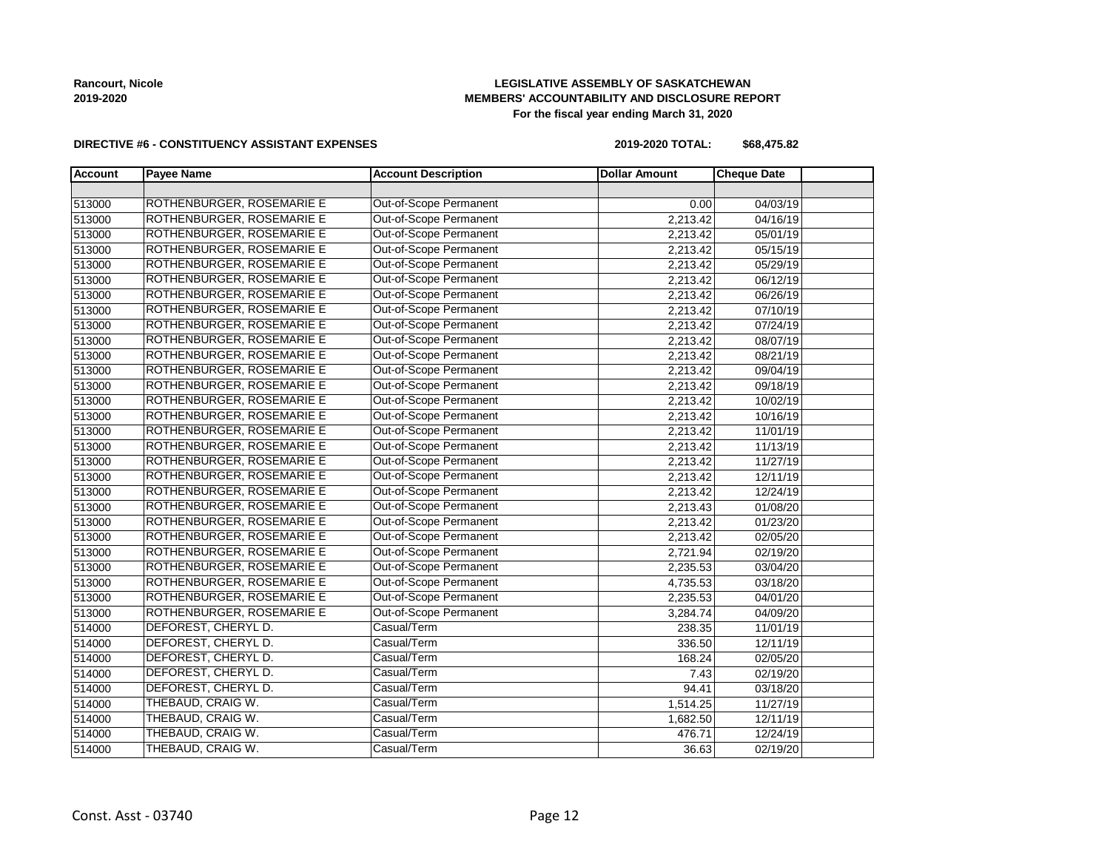## **LEGISLATIVE ASSEMBLY OF SASKATCHEWAN MEMBERS' ACCOUNTABILITY AND DISCLOSURE REPORT For the fiscal year ending March 31, 2020**

#### **DIRECTIVE #6 - CONSTITUENCY ASSISTANT EXPENSES**

**2019-2020 TOTAL: \$68,475.82**

| <b>Account</b> | <b>Payee Name</b>         | <b>Account Description</b> | <b>Dollar Amount</b> | <b>Cheque Date</b> |
|----------------|---------------------------|----------------------------|----------------------|--------------------|
|                |                           |                            |                      |                    |
| 513000         | ROTHENBURGER, ROSEMARIE E | Out-of-Scope Permanent     | 0.00                 | 04/03/19           |
| 513000         | ROTHENBURGER, ROSEMARIE E | Out-of-Scope Permanent     | 2,213.42             | 04/16/19           |
| 513000         | ROTHENBURGER, ROSEMARIE E | Out-of-Scope Permanent     | 2,213.42             | 05/01/19           |
| 513000         | ROTHENBURGER, ROSEMARIE E | Out-of-Scope Permanent     | 2,213.42             | 05/15/19           |
| 513000         | ROTHENBURGER, ROSEMARIE E | Out-of-Scope Permanent     | 2,213.42             | 05/29/19           |
| 513000         | ROTHENBURGER, ROSEMARIE E | Out-of-Scope Permanent     | 2,213.42             | 06/12/19           |
| 513000         | ROTHENBURGER, ROSEMARIE E | Out-of-Scope Permanent     | 2,213.42             | 06/26/19           |
| 513000         | ROTHENBURGER, ROSEMARIE E | Out-of-Scope Permanent     | 2,213.42             | 07/10/19           |
| 513000         | ROTHENBURGER, ROSEMARIE E | Out-of-Scope Permanent     | 2,213.42             | 07/24/19           |
| 513000         | ROTHENBURGER, ROSEMARIE E | Out-of-Scope Permanent     | 2,213.42             | 08/07/19           |
| 513000         | ROTHENBURGER, ROSEMARIE E | Out-of-Scope Permanent     | 2,213.42             | 08/21/19           |
| 513000         | ROTHENBURGER, ROSEMARIE E | Out-of-Scope Permanent     | 2,213.42             | 09/04/19           |
| 513000         | ROTHENBURGER, ROSEMARIE E | Out-of-Scope Permanent     | 2,213.42             | 09/18/19           |
| 513000         | ROTHENBURGER, ROSEMARIE E | Out-of-Scope Permanent     | 2,213.42             | 10/02/19           |
| 513000         | ROTHENBURGER, ROSEMARIE E | Out-of-Scope Permanent     | 2,213.42             | 10/16/19           |
| 513000         | ROTHENBURGER, ROSEMARIE E | Out-of-Scope Permanent     | 2,213.42             | 11/01/19           |
| 513000         | ROTHENBURGER, ROSEMARIE E | Out-of-Scope Permanent     | 2,213.42             | 11/13/19           |
| 513000         | ROTHENBURGER, ROSEMARIE E | Out-of-Scope Permanent     | 2,213.42             | 11/27/19           |
| 513000         | ROTHENBURGER, ROSEMARIE E | Out-of-Scope Permanent     | 2,213.42             | 12/11/19           |
| 513000         | ROTHENBURGER, ROSEMARIE E | Out-of-Scope Permanent     | 2,213.42             | 12/24/19           |
| 513000         | ROTHENBURGER, ROSEMARIE E | Out-of-Scope Permanent     | 2,213.43             | 01/08/20           |
| 513000         | ROTHENBURGER, ROSEMARIE E | Out-of-Scope Permanent     | 2,213.42             | 01/23/20           |
| 513000         | ROTHENBURGER, ROSEMARIE E | Out-of-Scope Permanent     | 2,213.42             | 02/05/20           |
| 513000         | ROTHENBURGER, ROSEMARIE E | Out-of-Scope Permanent     | 2,721.94             | 02/19/20           |
| 513000         | ROTHENBURGER, ROSEMARIE E | Out-of-Scope Permanent     | 2,235.53             | 03/04/20           |
| 513000         | ROTHENBURGER, ROSEMARIE E | Out-of-Scope Permanent     | 4,735.53             | 03/18/20           |
| 513000         | ROTHENBURGER, ROSEMARIE E | Out-of-Scope Permanent     | 2,235.53             | 04/01/20           |
| 513000         | ROTHENBURGER, ROSEMARIE E | Out-of-Scope Permanent     | 3,284.74             | 04/09/20           |
| 514000         | DEFOREST, CHERYL D.       | Casual/Term                | 238.35               | 11/01/19           |
| 514000         | DEFOREST, CHERYL D.       | Casual/Term                | 336.50               | 12/11/19           |
| 514000         | DEFOREST, CHERYL D.       | Casual/Term                | 168.24               | 02/05/20           |
| 514000         | DEFOREST, CHERYL D.       | Casual/Term                | 7.43                 | 02/19/20           |
| 514000         | DEFOREST, CHERYL D.       | Casual/Term                | 94.41                | 03/18/20           |
| 514000         | THEBAUD, CRAIG W.         | Casual/Term                | 1,514.25             | 11/27/19           |
| 514000         | THEBAUD, CRAIG W.         | Casual/Term                | 1,682.50             | 12/11/19           |
| 514000         | THEBAUD, CRAIG W.         | Casual/Term                | 476.71               | 12/24/19           |
| 514000         | THEBAUD, CRAIG W.         | Casual/Term                | 36.63                | 02/19/20           |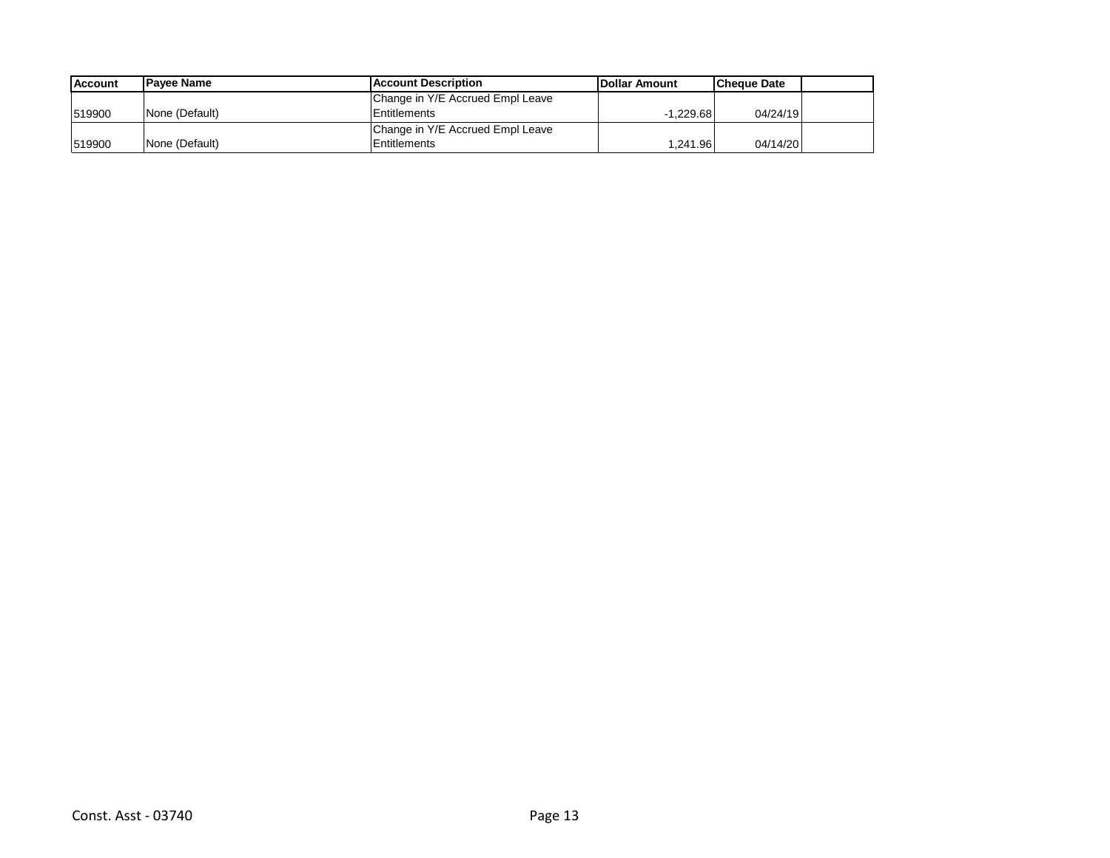| <b>Account</b> | <b>IPavee Name</b> | Account Description              | <b>IDollar Amount</b> | <b>Cheque Date</b> |  |
|----------------|--------------------|----------------------------------|-----------------------|--------------------|--|
|                |                    | Change in Y/E Accrued Empl Leave |                       |                    |  |
| 1519900        | None (Default)     | <b>Entitlements</b>              | -1.229.68             | 04/24/19           |  |
|                |                    | Change in Y/E Accrued Empl Leave |                       |                    |  |
| 1519900        | None (Default)     | Entitlements                     | 1.241.96              | 04/14/20           |  |